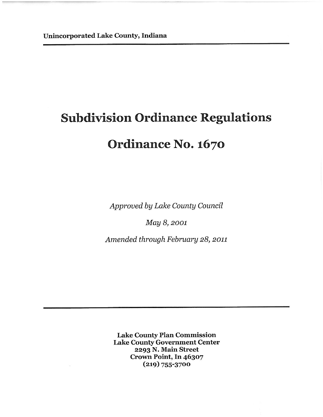# **Subdivision Ordinance Regulations**

# Ordinance No. 1670

Approved by Lake County Council

May 8, 2001

Amended through February 28, 2011

**Lake County Plan Commission Lake County Government Center** 2293 N. Main Street Crown Point, In 46307  $(219) 755 - 3700$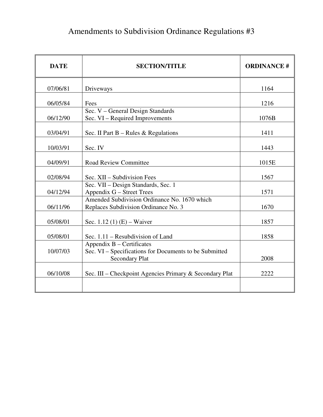# Amendments to Subdivision Ordinance Regulations #3

| <b>DATE</b> | <b>SECTION/TITLE</b>                                                                                  | <b>ORDINANCE#</b> |
|-------------|-------------------------------------------------------------------------------------------------------|-------------------|
| 07/06/81    | Driveways                                                                                             | 1164              |
| 06/05/84    | Fees                                                                                                  | 1216              |
| 06/12/90    | Sec. V - General Design Standards<br>Sec. VI - Required Improvements                                  | 1076B             |
| 03/04/91    | Sec. II Part $B - Rules & Regularions$                                                                | 1411              |
| 10/03/91    | Sec. IV                                                                                               | 1443              |
| 04/09/91    | <b>Road Review Committee</b>                                                                          | 1015E             |
| 02/08/94    | Sec. XII – Subdivision Fees                                                                           | 1567              |
| 04/12/94    | Sec. VII - Design Standards, Sec. 1<br>Appendix G – Street Trees                                      | 1571              |
| 06/11/96    | Amended Subdivision Ordinance No. 1670 which<br>Replaces Subdivision Ordinance No. 3                  | 1670              |
| 05/08/01    | Sec. 1.12 (1) $(E)$ – Waiver                                                                          | 1857              |
| 05/08/01    | Sec. 1.11 – Resubdivision of Land                                                                     | 1858              |
| 10/07/03    | Appendix B – Certificates<br>Sec. VI – Specifications for Documents to be Submitted<br>Secondary Plat | 2008              |
| 06/10/08    | Sec. III - Checkpoint Agencies Primary & Secondary Plat                                               | 2222              |
|             |                                                                                                       |                   |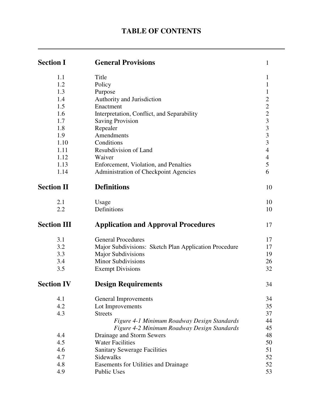# **TABLE OF CONTENTS**

| <b>Section I</b>   | <b>General Provisions</b>                             | $\mathbf{1}$                               |
|--------------------|-------------------------------------------------------|--------------------------------------------|
| 1.1                | Title                                                 | 1                                          |
| 1.2                | Policy                                                | 1                                          |
| 1.3                | Purpose                                               | 1                                          |
| 1.4                | Authority and Jurisdiction                            | $\overline{c}$                             |
| 1.5                | Enactment                                             | $\overline{c}$                             |
| 1.6                | Interpretation, Conflict, and Separability            |                                            |
| 1.7                | <b>Saving Provision</b>                               | $\begin{array}{c} 2 \\ 3 \\ 3 \end{array}$ |
| 1.8                | Repealer                                              |                                            |
| 1.9                | Amendments                                            | $\overline{\mathbf{3}}$                    |
| 1.10               | Conditions                                            | $\overline{3}$                             |
| 1.11               | Resubdivision of Land                                 | $\overline{4}$                             |
| 1.12               | Waiver                                                | $\overline{\mathcal{A}}$                   |
| 1.13               | Enforcement, Violation, and Penalties                 | 5                                          |
| 1.14               | Administration of Checkpoint Agencies                 | 6                                          |
| <b>Section II</b>  | <b>Definitions</b>                                    | 10                                         |
| 2.1                | Usage                                                 | 10                                         |
| 2.2                | Definitions                                           | 10                                         |
| <b>Section III</b> | <b>Application and Approval Procedures</b>            | 17                                         |
| 3.1                | <b>General Procedures</b>                             | 17                                         |
| 3.2                | Major Subdivisions: Sketch Plan Application Procedure | 17                                         |
| 3.3                | <b>Major Subdivisions</b>                             | 19                                         |
| 3.4                | <b>Minor Subdivisions</b>                             | 26                                         |
| 3.5                | <b>Exempt Divisions</b>                               | 32                                         |
| <b>Section IV</b>  | <b>Design Requirements</b>                            | 34                                         |
| 4.1                | <b>General Improvements</b>                           | 34                                         |
| 4.2                | Lot Improvements                                      | 35                                         |
| 4.3                | <b>Streets</b>                                        | 37                                         |
|                    | Figure 4-1 Minimum Roadway Design Standards           | 44                                         |
|                    | Figure 4-2 Minimum Roadway Design Standards           | 45                                         |
| 4.4                | Drainage and Storm Sewers                             | 48                                         |
| 4.5                | <b>Water Facilities</b>                               | 50                                         |
| 4.6                | <b>Sanitary Sewerage Facilities</b>                   | 51                                         |
| 4.7                | <b>Sidewalks</b>                                      | 52                                         |
| 4.8                | Easements for Utilities and Drainage                  | 52                                         |
| 4.9                | <b>Public Uses</b>                                    | 53                                         |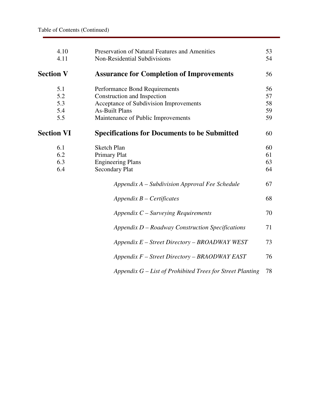| 4.10<br>4.11      | Preservation of Natural Features and Amenities<br>Non-Residential Subdivisions | 53<br>54 |
|-------------------|--------------------------------------------------------------------------------|----------|
| <b>Section V</b>  | <b>Assurance for Completion of Improvements</b>                                | 56       |
| 5.1               | Performance Bond Requirements                                                  | 56       |
| 5.2               | Construction and Inspection                                                    | 57       |
| 5.3               | Acceptance of Subdivision Improvements                                         | 58       |
| 5.4               | <b>As-Built Plans</b>                                                          | 59       |
| 5.5               | Maintenance of Public Improvements                                             | 59       |
| <b>Section VI</b> | <b>Specifications for Documents to be Submitted</b>                            | 60       |
| 6.1               | <b>Sketch Plan</b>                                                             | 60       |
| 6.2               | <b>Primary Plat</b>                                                            | 61       |
| 6.3               | <b>Engineering Plans</b>                                                       | 63       |
| 6.4               | <b>Secondary Plat</b>                                                          | 64       |
|                   | Appendix A – Subdivision Approval Fee Schedule                                 | 67       |
|                   | $Appendix B-Certificates$                                                      | 68       |
|                   | Appendix $C$ – Surveying Requirements                                          | 70       |
|                   | $Appendix D - Roadway Construction\; Specifications$                           | 71       |
|                   | Appendix E - Street Directory - BROADWAY WEST                                  | 73       |
|                   | $Appendix F - Street Directory - BRAODWAY EAST$                                | 76       |
|                   | Appendix $G$ – List of Prohibited Trees for Street Planting                    | 78       |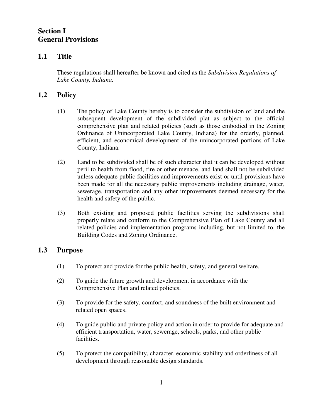# **Section I General Provisions**

# **1.1 Title**

These regulations shall hereafter be known and cited as the *Subdivision Regulations of Lake County, Indiana.*

# **1.2 Policy**

- (1) The policy of Lake County hereby is to consider the subdivision of land and the subsequent development of the subdivided plat as subject to the official comprehensive plan and related policies (such as those embodied in the Zoning Ordinance of Unincorporated Lake County, Indiana) for the orderly, planned, efficient, and economical development of the unincorporated portions of Lake County, Indiana.
- (2) Land to be subdivided shall be of such character that it can be developed without peril to health from flood, fire or other menace, and land shall not be subdivided unless adequate public facilities and improvements exist or until provisions have been made for all the necessary public improvements including drainage, water, sewerage, transportation and any other improvements deemed necessary for the health and safety of the public.
- (3) Both existing and proposed public facilities serving the subdivisions shall properly relate and conform to the Comprehensive Plan of Lake County and all related policies and implementation programs including, but not limited to, the Building Codes and Zoning Ordinance.

# **1.3 Purpose**

- (1) To protect and provide for the public health, safety, and general welfare.
- (2) To guide the future growth and development in accordance with the Comprehensive Plan and related policies.
- (3) To provide for the safety, comfort, and soundness of the built environment and related open spaces.
- (4) To guide public and private policy and action in order to provide for adequate and efficient transportation, water, sewerage, schools, parks, and other public facilities.
- (5) To protect the compatibility, character, economic stability and orderliness of all development through reasonable design standards.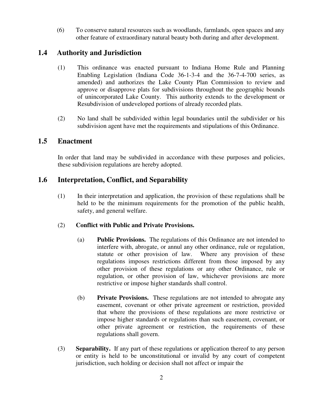(6) To conserve natural resources such as woodlands, farmlands, open spaces and any other feature of extraordinary natural beauty both during and after development.

# **1.4 Authority and Jurisdiction**

- (1) This ordinance was enacted pursuant to Indiana Home Rule and Planning Enabling Legislation (Indiana Code 36-1-3-4 and the 36-7-4-700 series, as amended) and authorizes the Lake County Plan Commission to review and approve or disapprove plats for subdivisions throughout the geographic bounds of unincorporated Lake County. This authority extends to the development or Resubdivision of undeveloped portions of already recorded plats.
- (2) No land shall be subdivided within legal boundaries until the subdivider or his subdivision agent have met the requirements and stipulations of this Ordinance.

# **1.5 Enactment**

In order that land may be subdivided in accordance with these purposes and policies, these subdivision regulations are hereby adopted.

# **1.6 Interpretation, Conflict, and Separability**

(1) In their interpretation and application, the provision of these regulations shall be held to be the minimum requirements for the promotion of the public health, safety, and general welfare.

## (2) **Conflict with Public and Private Provisions.**

- (a) **Public Provisions.** The regulations of this Ordinance are not intended to interfere with, abrogate, or annul any other ordinance, rule or regulation, statute or other provision of law. Where any provision of these regulations imposes restrictions different from those imposed by any other provision of these regulations or any other Ordinance, rule or regulation, or other provision of law, whichever provisions are more restrictive or impose higher standards shall control.
- (b) **Private Provisions.** These regulations are not intended to abrogate any easement, covenant or other private agreement or restriction, provided that where the provisions of these regulations are more restrictive or impose higher standards or regulations than such easement, covenant, or other private agreement or restriction, the requirements of these regulations shall govern.
- (3) **Separability.** If any part of these regulations or application thereof to any person or entity is held to be unconstitutional or invalid by any court of competent jurisdiction, such holding or decision shall not affect or impair the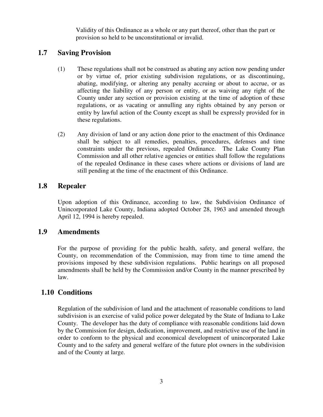Validity of this Ordinance as a whole or any part thereof, other than the part or provision so held to be unconstitutional or invalid.

# **1.7 Saving Provision**

- (1) These regulations shall not be construed as abating any action now pending under or by virtue of, prior existing subdivision regulations, or as discontinuing, abating, modifying, or altering any penalty accruing or about to accrue, or as affecting the liability of any person or entity, or as waiving any right of the County under any section or provision existing at the time of adoption of these regulations, or as vacating or annulling any rights obtained by any person or entity by lawful action of the County except as shall be expressly provided for in these regulations.
- (2) Any division of land or any action done prior to the enactment of this Ordinance shall be subject to all remedies, penalties, procedures, defenses and time constraints under the previous, repealed Ordinance. The Lake County Plan Commission and all other relative agencies or entities shall follow the regulations of the repealed Ordinance in these cases where actions or divisions of land are still pending at the time of the enactment of this Ordinance.

## **1.8 Repealer**

 Upon adoption of this Ordinance, according to law, the Subdivision Ordinance of Unincorporated Lake County, Indiana adopted October 28, 1963 and amended through April 12, 1994 is hereby repealed.

## **1.9 Amendments**

 For the purpose of providing for the public health, safety, and general welfare, the County, on recommendation of the Commission, may from time to time amend the provisions imposed by these subdivision regulations. Public hearings on all proposed amendments shall be held by the Commission and/or County in the manner prescribed by law.

# **1.10 Conditions**

 Regulation of the subdivision of land and the attachment of reasonable conditions to land subdivision is an exercise of valid police power delegated by the State of Indiana to Lake County. The developer has the duty of compliance with reasonable conditions laid down by the Commission for design, dedication, improvement, and restrictive use of the land in order to conform to the physical and economical development of unincorporated Lake County and to the safety and general welfare of the future plot owners in the subdivision and of the County at large.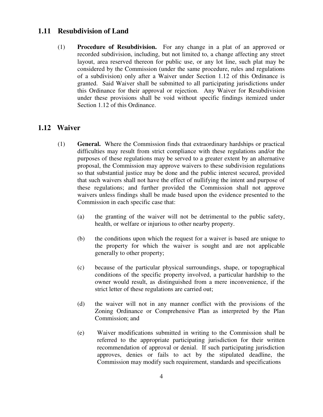# **1.11 Resubdivision of Land**

(1) **Procedure of Resubdivision.** For any change in a plat of an approved or recorded subdivision, including, but not limited to, a change affecting any street layout, area reserved thereon for public use, or any lot line, such plat may be considered by the Commission (under the same procedure, rules and regulations of a subdivision) only after a Waiver under Section 1.12 of this Ordinance is granted. Said Waiver shall be submitted to all participating jurisdictions under this Ordinance for their approval or rejection. Any Waiver for Resubdivision under these provisions shall be void without specific findings itemized under Section 1.12 of this Ordinance.

## **1.12 Waiver**

- (1) **General.** Where the Commission finds that extraordinary hardships or practical difficulties may result from strict compliance with these regulations and/or the purposes of these regulations may be served to a greater extent by an alternative proposal, the Commission may approve waivers to these subdivision regulations so that substantial justice may be done and the public interest secured, provided that such waivers shall not have the effect of nullifying the intent and purpose of these regulations; and further provided the Commission shall not approve waivers unless findings shall be made based upon the evidence presented to the Commission in each specific case that:
	- (a) the granting of the waiver will not be detrimental to the public safety, health, or welfare or injurious to other nearby property.
	- (b) the conditions upon which the request for a waiver is based are unique to the property for which the waiver is sought and are not applicable generally to other property;
	- (c) because of the particular physical surroundings, shape, or topographical conditions of the specific property involved, a particular hardship to the owner would result, as distinguished from a mere inconvenience, if the strict letter of these regulations are carried out;
	- (d) the waiver will not in any manner conflict with the provisions of the Zoning Ordinance or Comprehensive Plan as interpreted by the Plan Commission; and
	- (e) Waiver modifications submitted in writing to the Commission shall be referred to the appropriate participating jurisdiction for their written recommendation of approval or denial. If such participating jurisdiction approves, denies or fails to act by the stipulated deadline, the Commission may modify such requirement, standards and specifications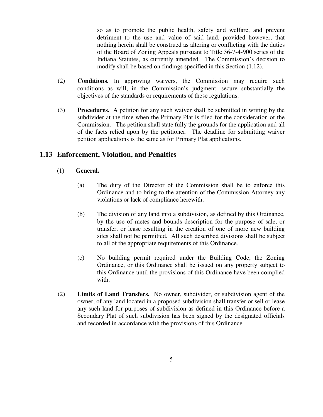so as to promote the public health, safety and welfare, and prevent detriment to the use and value of said land, provided however, that nothing herein shall be construed as altering or conflicting with the duties of the Board of Zoning Appeals pursuant to Title 36-7-4-900 series of the Indiana Statutes, as currently amended. The Commission's decision to modify shall be based on findings specified in this Section (1.12).

- (2) **Conditions.** In approving waivers, the Commission may require such conditions as will, in the Commission's judgment, secure substantially the objectives of the standards or requirements of these regulations.
- (3) **Procedures.** A petition for any such waiver shall be submitted in writing by the subdivider at the time when the Primary Plat is filed for the consideration of the Commission. The petition shall state fully the grounds for the application and all of the facts relied upon by the petitioner. The deadline for submitting waiver petition applications is the same as for Primary Plat applications.

# **1.13 Enforcement, Violation, and Penalties**

## (1) **General.**

- (a) The duty of the Director of the Commission shall be to enforce this Ordinance and to bring to the attention of the Commission Attorney any violations or lack of compliance herewith.
- (b) The division of any land into a subdivision, as defined by this Ordinance, by the use of metes and bounds description for the purpose of sale, or transfer, or lease resulting in the creation of one of more new building sites shall not be permitted. All such described divisions shall be subject to all of the appropriate requirements of this Ordinance.
- (c) No building permit required under the Building Code, the Zoning Ordinance, or this Ordinance shall be issued on any property subject to this Ordinance until the provisions of this Ordinance have been complied with.
- (2) **Limits of Land Transfers.** No owner, subdivider, or subdivision agent of the owner, of any land located in a proposed subdivision shall transfer or sell or lease any such land for purposes of subdivision as defined in this Ordinance before a Secondary Plat of such subdivision has been signed by the designated officials and recorded in accordance with the provisions of this Ordinance.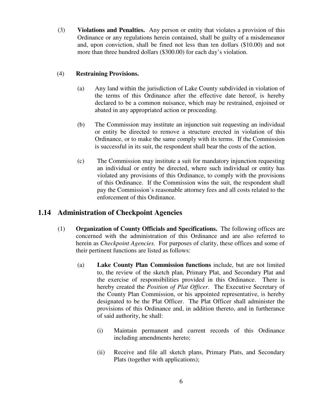(3) **Violations and Penalties.** Any person or entity that violates a provision of this Ordinance or any regulations herein contained, shall be guilty of a misdemeanor and, upon conviction, shall be fined not less than ten dollars (\$10.00) and not more than three hundred dollars (\$300.00) for each day's violation.

## (4) **Restraining Provisions.**

- (a) Any land within the jurisdiction of Lake County subdivided in violation of the terms of this Ordinance after the effective date hereof, is hereby declared to be a common nuisance, which may be restrained, enjoined or abated in any appropriated action or proceeding.
- (b) The Commission may institute an injunction suit requesting an individual or entity be directed to remove a structure erected in violation of this Ordinance, or to make the same comply with its terms. If the Commission is successful in its suit, the respondent shall bear the costs of the action.
- (c) The Commission may institute a suit for mandatory injunction requesting an individual or entity be directed, where such individual or entity has violated any provisions of this Ordinance, to comply with the provisions of this Ordinance. If the Commission wins the suit, the respondent shall pay the Commission's reasonable attorney fees and all costs related to the enforcement of this Ordinance.

# **1.14 Administration of Checkpoint Agencies**

- (1) **Organization of County Officials and Specifications.** The following offices are concerned with the administration of this Ordinance and are also referred to herein as *Checkpoint Agencies.* For purposes of clarity, these offices and some of their pertinent functions are listed as follows:
	- (a) **Lake County Plan Commission functions** include, but are not limited to, the review of the sketch plan, Primary Plat, and Secondary Plat and the exercise of responsibilities provided in this Ordinance. There is hereby created the *Position of Plat Officer*. The Executive Secretary of the County Plan Commission, or his appointed representative, is hereby designated to be the Plat Officer. The Plat Officer shall administer the provisions of this Ordinance and, in addition thereto, and in furtherance of said authority, he shall:
		- (i) Maintain permanent and current records of this Ordinance including amendments hereto;
		- (ii) Receive and file all sketch plans, Primary Plats, and Secondary Plats (together with applications);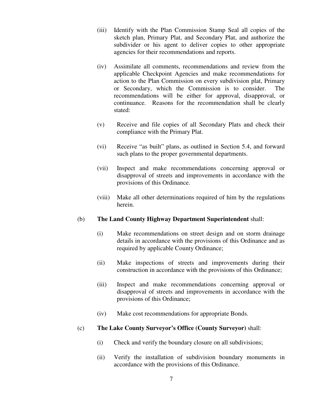- (iii) Identify with the Plan Commission Stamp Seal all copies of the sketch plan, Primary Plat, and Secondary Plat, and authorize the subdivider or his agent to deliver copies to other appropriate agencies for their recommendations and reports.
- (iv) Assimilate all comments, recommendations and review from the applicable Checkpoint Agencies and make recommendations for action to the Plan Commission on every subdivision plat, Primary or Secondary, which the Commission is to consider. The recommendations will be either for approval, disapproval, or continuance. Reasons for the recommendation shall be clearly stated:
- (v) Receive and file copies of all Secondary Plats and check their compliance with the Primary Plat.
- (vi) Receive "as built" plans, as outlined in Section 5.4, and forward such plans to the proper governmental departments.
- (vii) Inspect and make recommendations concerning approval or disapproval of streets and improvements in accordance with the provisions of this Ordinance.
- (viii) Make all other determinations required of him by the regulations herein.

#### (b) **The Land County Highway Department Superintendent** shall:

- (i) Make recommendations on street design and on storm drainage details in accordance with the provisions of this Ordinance and as required by applicable County Ordinance;
- (ii) Make inspections of streets and improvements during their construction in accordance with the provisions of this Ordinance;
- (iii) Inspect and make recommendations concerning approval or disapproval of streets and improvements in accordance with the provisions of this Ordinance;
- (iv) Make cost recommendations for appropriate Bonds.

#### (c) **The Lake County Surveyor's Office (County Surveyor)** shall:

- (i) Check and verify the boundary closure on all subdivisions;
- (ii) Verify the installation of subdivision boundary monuments in accordance with the provisions of this Ordinance.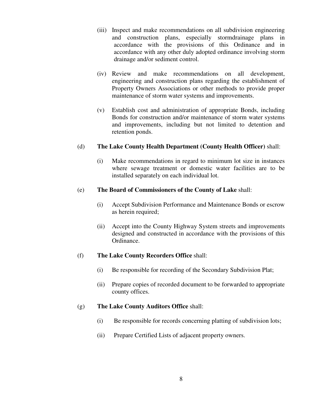- (iii) Inspect and make recommendations on all subdivision engineering and construction plans, especially stormdrainage plans in accordance with the provisions of this Ordinance and in accordance with any other duly adopted ordinance involving storm drainage and/or sediment control.
- (iv) Review and make recommendations on all development, engineering and construction plans regarding the establishment of Property Owners Associations or other methods to provide proper maintenance of storm water systems and improvements.
- (v) Establish cost and administration of appropriate Bonds, including Bonds for construction and/or maintenance of storm water systems and improvements, including but not limited to detention and retention ponds.

#### (d) **The Lake County Health Department (County Health Officer)** shall:

(i) Make recommendations in regard to minimum lot size in instances where sewage treatment or domestic water facilities are to be installed separately on each individual lot.

#### (e) **The Board of Commissioners of the County of Lake** shall:

- (i) Accept Subdivision Performance and Maintenance Bonds or escrow as herein required;
- (ii) Accept into the County Highway System streets and improvements designed and constructed in accordance with the provisions of this Ordinance.

#### (f) **The Lake County Recorders Office** shall:

- (i) Be responsible for recording of the Secondary Subdivision Plat;
- (ii) Prepare copies of recorded document to be forwarded to appropriate county offices.

#### (g) **The Lake County Auditors Office** shall:

- (i) Be responsible for records concerning platting of subdivision lots;
- (ii) Prepare Certified Lists of adjacent property owners.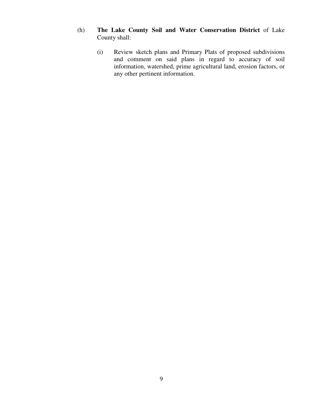- (h) **The Lake County Soil and Water Conservation District** of Lake County shall:
	- (i) Review sketch plans and Primary Plats of proposed subdivisions and comment on said plans in regard to accuracy of soil information, watershed, prime agricultural land, erosion factors, or any other pertinent information.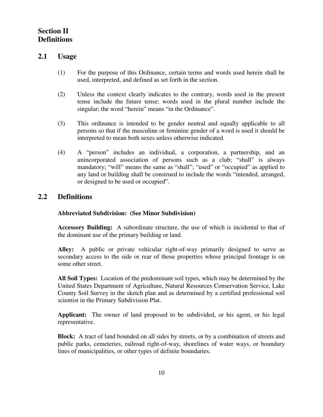# **Section II Definitions**

# **2.1 Usage**

- (1) For the purpose of this Ordinance, certain terms and words used herein shall be used, interpreted, and defined as set forth in the section.
- (2) Unless the context clearly indicates to the contrary, words used in the present tense include the future tense; words used in the plural number include the singular; the word "herein" means "in the Ordinance".
- (3) This ordinance is intended to be gender neutral and equally applicable to all persons so that if the masculine or feminine gender of a word is used it should be interpreted to mean both sexes unless otherwise indicated.
- (4) A "person" includes an individual, a corporation, a partnership, and an unincorporated association of persons such as a club; "shall" is always mandatory; "will" means the same as "shall"; "used" or "occupied" as applied to any land or building shall be construed to include the words "intended, arranged, or designed to be used or occupied".

# **2.2 Definitions**

#### **Abbreviated Subdivision: (See Minor Subdivision)**

 **Accessory Building:** A subordinate structure, the use of which is incidental to that of the dominant use of the primary building or land.

**Alley:** A public or private vehicular right-of-way primarily designed to serve as secondary access to the side or rear of those properties whose principal frontage is on some other street.

**All Soil Types:** Location of the predominant soil types, which may be determined by the United States Department of Agriculture, Natural Resources Conservation Service, Lake County Soil Survey in the sketch plan and as determined by a certified professional soil scientist in the Primary Subdivision Plat.

**Applicant:** The owner of land proposed to be subdivided, or his agent, or his legal representative.

**Block:** A tract of land bounded on all sides by streets, or by a combination of streets and public parks, cemeteries, railroad right-of-way, shorelines of water ways, or boundary lines of municipalities, or other types of definite boundaries.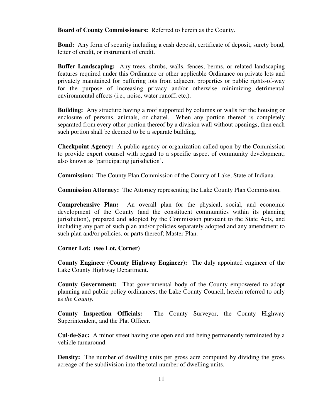**Board of County Commissioners:** Referred to herein as the County.

**Bond:** Any form of security including a cash deposit, certificate of deposit, surety bond, letter of credit, or instrument of credit.

**Buffer Landscaping:** Any trees, shrubs, walls, fences, berms, or related landscaping features required under this Ordinance or other applicable Ordinance on private lots and privately maintained for buffering lots from adjacent properties or public rights-of-way for the purpose of increasing privacy and/or otherwise minimizing detrimental environmental effects (i.e., noise, water runoff, etc.).

**Building:** Any structure having a roof supported by columns or walls for the housing or enclosure of persons, animals, or chattel. When any portion thereof is completely separated from every other portion thereof by a division wall without openings, then each such portion shall be deemed to be a separate building.

**Checkpoint Agency:** A public agency or organization called upon by the Commission to provide expert counsel with regard to a specific aspect of community development; also known as 'participating jurisdiction'.

**Commission:** The County Plan Commission of the County of Lake, State of Indiana.

 **Commission Attorney:** The Attorney representing the Lake County Plan Commission.

 **Comprehensive Plan:** An overall plan for the physical, social, and economic development of the County (and the constituent communities within its planning jurisdiction), prepared and adopted by the Commission pursuant to the State Acts, and including any part of such plan and/or policies separately adopted and any amendment to such plan and/or policies, or parts thereof; Master Plan.

#### **Corner Lot: (see Lot, Corner)**

**County Engineer (County Highway Engineer):** The duly appointed engineer of the Lake County Highway Department.

**County Government:** That governmental body of the County empowered to adopt planning and public policy ordinances; the Lake County Council, herein referred to only as *the County.*

**County Inspection Officials:** The County Surveyor, the County Highway Superintendent, and the Plat Officer.

**Cul-de-Sac:** A minor street having one open end and being permanently terminated by a vehicle turnaround.

**Density:** The number of dwelling units per gross acre computed by dividing the gross acreage of the subdivision into the total number of dwelling units.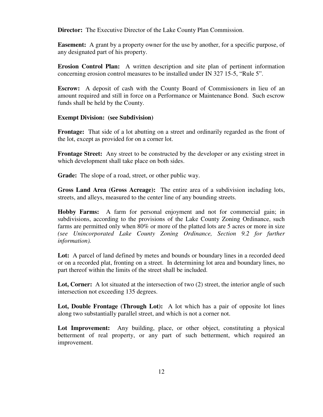**Director:** The Executive Director of the Lake County Plan Commission.

**Easement:** A grant by a property owner for the use by another, for a specific purpose, of any designated part of his property.

**Erosion Control Plan:** A written description and site plan of pertinent information concerning erosion control measures to be installed under IN 327 15-5, "Rule 5".

**Escrow:** A deposit of cash with the County Board of Commissioners in lieu of an amount required and still in force on a Performance or Maintenance Bond. Such escrow funds shall be held by the County.

#### **Exempt Division: (see Subdivision)**

**Frontage:** That side of a lot abutting on a street and ordinarily regarded as the front of the lot, except as provided for on a corner lot.

**Frontage Street:** Any street to be constructed by the developer or any existing street in which development shall take place on both sides.

**Grade:** The slope of a road, street, or other public way.

**Gross Land Area (Gross Acreage):** The entire area of a subdivision including lots, streets, and alleys, measured to the center line of any bounding streets.

**Hobby Farms:** A farm for personal enjoyment and not for commercial gain; in subdivisions, according to the provisions of the Lake County Zoning Ordinance, such farms are permitted only when 80% or more of the platted lots are 5 acres or more in size *(see Unincorporated Lake County Zoning Ordinance, Section 9.2 for further information).* 

Lot: A parcel of land defined by metes and bounds or boundary lines in a recorded deed or on a recorded plat, fronting on a street. In determining lot area and boundary lines, no part thereof within the limits of the street shall be included.

Lot, Corner: A lot situated at the intersection of two (2) street, the interior angle of such intersection not exceeding 135 degrees.

Lot, Double Frontage (Through Lot): A lot which has a pair of opposite lot lines along two substantially parallel street, and which is not a corner not.

Lot Improvement: Any building, place, or other object, constituting a physical betterment of real property, or any part of such betterment, which required an improvement.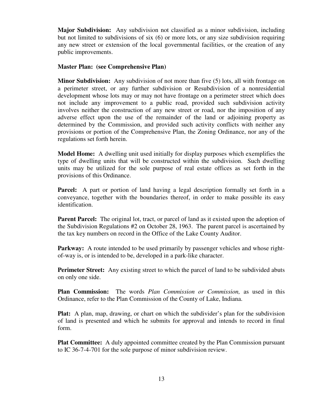**Major Subdivision:** Any subdivision not classified as a minor subdivision, including but not limited to subdivisions of six (6) or more lots, or any size subdivision requiring any new street or extension of the local governmental facilities, or the creation of any public improvements.

#### **Master Plan: (see Comprehensive Plan)**

**Minor Subdivision:** Any subdivision of not more than five (5) lots, all with frontage on a perimeter street, or any further subdivision or Resubdivision of a nonresidential development whose lots may or may not have frontage on a perimeter street which does not include any improvement to a public road, provided such subdivision activity involves neither the construction of any new street or road, nor the imposition of any adverse effect upon the use of the remainder of the land or adjoining property as determined by the Commission, and provided such activity conflicts with neither any provisions or portion of the Comprehensive Plan, the Zoning Ordinance, nor any of the regulations set forth herein.

**Model Home:** A dwelling unit used initially for display purposes which exemplifies the type of dwelling units that will be constructed within the subdivision. Such dwelling units may be utilized for the sole purpose of real estate offices as set forth in the provisions of this Ordinance.

**Parcel:** A part or portion of land having a legal description formally set forth in a conveyance, together with the boundaries thereof, in order to make possible its easy identification.

**Parent Parcel:** The original lot, tract, or parcel of land as it existed upon the adoption of the Subdivision Regulations #2 on October 28, 1963. The parent parcel is ascertained by the tax key numbers on record in the Office of the Lake County Auditor.

**Parkway:** A route intended to be used primarily by passenger vehicles and whose rightof-way is, or is intended to be, developed in a park-like character.

**Perimeter Street:** Any existing street to which the parcel of land to be subdivided abuts on only one side.

 **Plan Commission:** The words *Plan Commission or Commission,* as used in this Ordinance, refer to the Plan Commission of the County of Lake, Indiana.

 **Plat:** A plan, map, drawing, or chart on which the subdivider's plan for the subdivision of land is presented and which he submits for approval and intends to record in final form.

 **Plat Committee:** A duly appointed committee created by the Plan Commission pursuant to IC 36-7-4-701 for the sole purpose of minor subdivision review.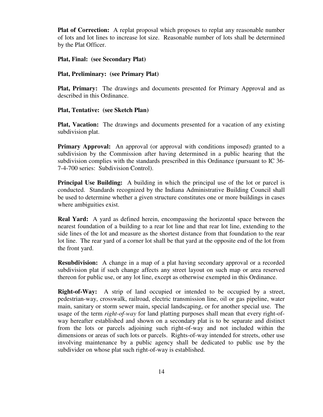**Plat of Correction:** A replat proposal which proposes to replat any reasonable number of lots and lot lines to increase lot size. Reasonable number of lots shall be determined by the Plat Officer.

#### **Plat, Final: (see Secondary Plat)**

#### **Plat, Preliminary: (see Primary Plat)**

 **Plat, Primary:** The drawings and documents presented for Primary Approval and as described in this Ordinance.

#### **Plat, Tentative: (see Sketch Plan)**

**Plat, Vacation:** The drawings and documents presented for a vacation of any existing subdivision plat.

**Primary Approval:** An approval (or approval with conditions imposed) granted to a subdivision by the Commission after having determined in a public hearing that the subdivision complies with the standards prescribed in this Ordinance (pursuant to IC 36- 7-4-700 series: Subdivision Control).

**Principal Use Building:** A building in which the principal use of the lot or parcel is conducted. Standards recognized by the Indiana Administrative Building Council shall be used to determine whether a given structure constitutes one or more buildings in cases where ambiguities exist.

**Real Yard:** A yard as defined herein, encompassing the horizontal space between the nearest foundation of a building to a rear lot line and that rear lot line, extending to the side lines of the lot and measure as the shortest distance from that foundation to the rear lot line. The rear yard of a corner lot shall be that yard at the opposite end of the lot from the front yard.

**Resubdivision:** A change in a map of a plat having secondary approval or a recorded subdivision plat if such change affects any street layout on such map or area reserved thereon for public use, or any lot line, except as otherwise exempted in this Ordinance.

**Right-of-Way:** A strip of land occupied or intended to be occupied by a street, pedestrian-way, crosswalk, railroad, electric transmission line, oil or gas pipeline, water main, sanitary or storm sewer main, special landscaping, or for another special use. The usage of the term *right-of-way* for land platting purposes shall mean that every right-ofway hereafter established and shown on a secondary plat is to be separate and distinct from the lots or parcels adjoining such right-of-way and not included within the dimensions or areas of such lots or parcels. Rights-of-way intended for streets, other use involving maintenance by a public agency shall be dedicated to public use by the subdivider on whose plat such right-of-way is established.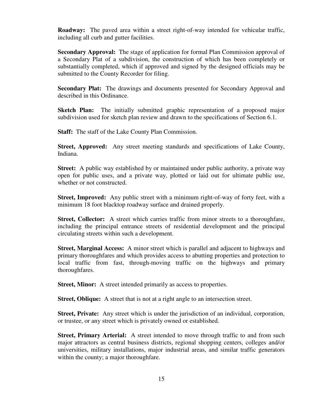**Roadway:** The paved area within a street right-of-way intended for vehicular traffic, including all curb and gutter facilities.

**Secondary Approval:** The stage of application for formal Plan Commission approval of a Secondary Plat of a subdivision, the construction of which has been completely or substantially completed, which if approved and signed by the designed officials may be submitted to the County Recorder for filing.

**Secondary Plat:** The drawings and documents presented for Secondary Approval and described in this Ordinance.

**Sketch Plan:** The initially submitted graphic representation of a proposed major subdivision used for sketch plan review and drawn to the specifications of Section 6.1.

**Staff:** The staff of the Lake County Plan Commission.

**Street, Approved:** Any street meeting standards and specifications of Lake County, Indiana.

**Street:** A public way established by or maintained under public authority, a private way open for public uses, and a private way, plotted or laid out for ultimate public use, whether or not constructed.

**Street, Improved:** Any public street with a minimum right-of-way of forty feet, with a minimum 18 foot blacktop roadway surface and drained properly.

**Street, Collector:** A street which carries traffic from minor streets to a thoroughfare, including the principal entrance streets of residential development and the principal circulating streets within such a development.

**Street, Marginal Access:** A minor street which is parallel and adjacent to highways and primary thoroughfares and which provides access to abutting properties and protection to local traffic from fast, through-moving traffic on the highways and primary thoroughfares.

**Street, Minor:** A street intended primarily as access to properties.

**Street, Oblique:** A street that is not at a right angle to an intersection street.

**Street, Private:** Any street which is under the jurisdiction of an individual, corporation, or trustee, or any street which is privately owned or established.

**Street, Primary Arterial:** A street intended to move through traffic to and from such major attractors as central business districts, regional shopping centers, colleges and/or universities, military installations, major industrial areas, and similar traffic generators within the county; a major thoroughfare.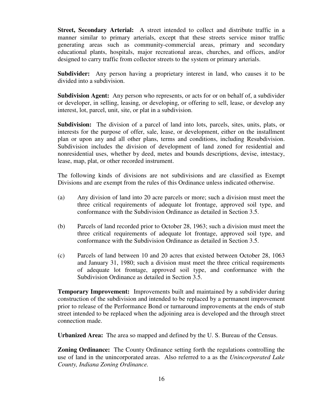**Street, Secondary Arterial:** A street intended to collect and distribute traffic in a manner similar to primary arterials, except that these streets service minor traffic generating areas such as community-commercial areas, primary and secondary educational plants, hospitals, major recreational areas, churches, and offices, and/or designed to carry traffic from collector streets to the system or primary arterials.

**Subdivider:** Any person having a proprietary interest in land, who causes it to be divided into a subdivision.

**Subdivision Agent:** Any person who represents, or acts for or on behalf of, a subdivider or developer, in selling, leasing, or developing, or offering to sell, lease, or develop any interest, lot, parcel, unit, site, or plat in a subdivision.

**Subdivision:** The division of a parcel of land into lots, parcels, sites, units, plats, or interests for the purpose of offer, sale, lease, or development, either on the installment plan or upon any and all other plans, terms and conditions, including Resubdivision. Subdivision includes the division of development of land zoned for residential and nonresidential uses, whether by deed, metes and bounds descriptions, devise, intestacy, lease, map, plat, or other recorded instrument.

 The following kinds of divisions are not subdivisions and are classified as Exempt Divisions and are exempt from the rules of this Ordinance unless indicated otherwise.

- (a) Any division of land into 20 acre parcels or more; such a division must meet the three critical requirements of adequate lot frontage, approved soil type, and conformance with the Subdivision Ordinance as detailed in Section 3.5.
- (b) Parcels of land recorded prior to October 28, 1963; such a division must meet the three critical requirements of adequate lot frontage, approved soil type, and conformance with the Subdivision Ordinance as detailed in Section 3.5.
- (c) Parcels of land between 10 and 20 acres that existed between October 28, 1063 and January 31, 1980; such a division must meet the three critical requirements of adequate lot frontage, approved soil type, and conformance with the Subdivision Ordinance as detailed in Section 3.5.

**Temporary Improvement:** Improvements built and maintained by a subdivider during construction of the subdivision and intended to be replaced by a permanent improvement prior to release of the Performance Bond or turnaround improvements at the ends of stub street intended to be replaced when the adjoining area is developed and the through street connection made.

**Urbanized Area:** The area so mapped and defined by the U. S. Bureau of the Census.

**Zoning Ordinance:** The County Ordinance setting forth the regulations controlling the use of land in the unincorporated areas. Also referred to a as the *Unincorporated Lake County, Indiana Zoning Ordinance.*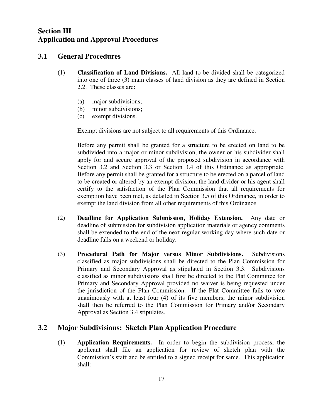# **Section III Application and Approval Procedures**

# **3.1 General Procedures**

- (1) **Classification of Land Divisions.** All land to be divided shall be categorized into one of three (3) main classes of land division as they are defined in Section 2.2. These classes are:
	- (a) major subdivisions;
	- (b) minor subdivisions;
	- (c) exempt divisions.

Exempt divisions are not subject to all requirements of this Ordinance.

Before any permit shall be granted for a structure to be erected on land to be subdivided into a major or minor subdivision, the owner or his subdivider shall apply for and secure approval of the proposed subdivision in accordance with Section 3.2 and Section 3.3 or Section 3.4 of this Ordinance as appropriate. Before any permit shall be granted for a structure to be erected on a parcel of land to be created or altered by an exempt division, the land divider or his agent shall certify to the satisfaction of the Plan Commission that all requirements for exemption have been met, as detailed in Section 3.5 of this Ordinance, in order to exempt the land division from all other requirements of this Ordinance.

- (2) **Deadline for Application Submission, Holiday Extension.** Any date or deadline of submission for subdivision application materials or agency comments shall be extended to the end of the next regular working day where such date or deadline falls on a weekend or holiday.
- (3) **Procedural Path for Major versus Minor Subdivisions.** Subdivisions classified as major subdivisions shall be directed to the Plan Commission for Primary and Secondary Approval as stipulated in Section 3.3. Subdivisions classified as minor subdivisions shall first be directed to the Plat Committee for Primary and Secondary Approval provided no waiver is being requested under the jurisdiction of the Plan Commission. If the Plat Committee fails to vote unanimously with at least four (4) of its five members, the minor subdivision shall then be referred to the Plan Commission for Primary and/or Secondary Approval as Section 3.4 stipulates.

# **3.2 Major Subdivisions: Sketch Plan Application Procedure**

 (1) **Application Requirements.** In order to begin the subdivision process, the applicant shall file an application for review of sketch plan with the Commission's staff and be entitled to a signed receipt for same. This application shall: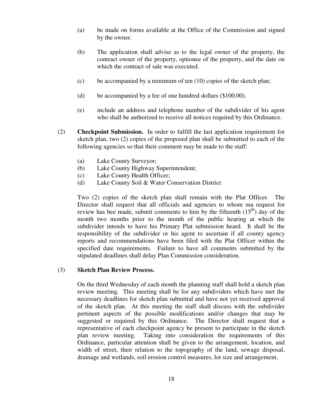- (a) be made on forms available at the Office of the Commission and signed by the owner.
- (b) The application shall advise as to the legal owner of the property, the contract owner of the property, optionee of the property, and the date on which the contract of sale was executed.
- (c) be accompanied by a minimum of ten (10) copies of the sketch plan;
- (d) be accompanied by a fee of one hundred dollars (\$100.00).
- (e) include an address and telephone number of the subdivider of his agent who shall be authorized to receive all notices required by this Ordinance.
- (2) **Checkpoint Submission.** In order to fulfill the last application requirement for sketch plan, two (2) copies of the proposed plan shall be submitted to each of the following agencies so that their comment may be made to the staff:
	- (a) Lake County Surveyor;
	- (b) Lake County Highway Superintendent;
	- (c) Lake County Health Officer;
	- (d) Lake County Soil & Water Conservation District

 Two (2) copies of the sketch plan shall remain with the Plat Officer. The Director shall request that all officials and agencies to whom ma request for review has bee made, submit comments to him by the fifteenth  $(15<sup>th</sup>)$  day of the month two months prior to the month of the public hearing at which the subdivider intends to have his Primary Plat submission heard. It shall be the responsibility of the subdivider or his agent to ascertain if all county agency reports and recommendations have been filed with the Plat Officer within the specified date requirements. Failure to have all comments submitted by the stipulated deadlines shall delay Plan Commission consideration.

#### (3) **Sketch Plan Review Process.**

 On the third Wednesday of each month the planning staff shall hold a sketch plan review meeting. This meeting shall be for any subdividers which have met the necessary deadlines for sketch plan submittal and have not yet received approval of the sketch plan. At this meeting the staff shall discuss with the subdivider pertinent aspects of the possible modifications and/or changes that may be suggested or required by this Ordinance. The Director shall request that a representative of each checkpoint agency be present to participate in the sketch plan review meeting. Taking into consideration the requirements of this Ordinance, particular attention shall be given to the arrangement, location, and width of street, their relation to the topography of the land, sewage disposal, drainage and wetlands, soil erosion control measures, lot size and arrangement,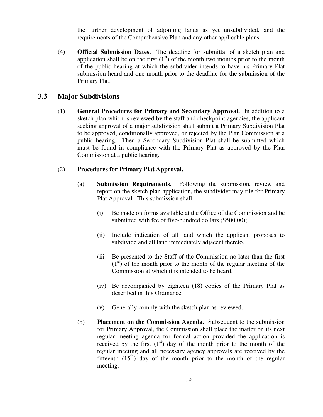the further development of adjoining lands as yet unsubdivided, and the requirements of the Comprehensive Plan and any other applicable plans.

(4) **Official Submission Dates.** The deadline for submittal of a sketch plan and application shall be on the first  $(1<sup>st</sup>)$  of the month two months prior to the month of the public hearing at which the subdivider intends to have his Primary Plat submission heard and one month prior to the deadline for the submission of the Primary Plat.

# **3.3 Major Subdivisions**

(1) **General Procedures for Primary and Secondary Approval.** In addition to a sketch plan which is reviewed by the staff and checkpoint agencies, the applicant seeking approval of a major subdivision shall submit a Primary Subdivision Plat to be approved, conditionally approved, or rejected by the Plan Commission at a public hearing. Then a Secondary Subdivision Plat shall be submitted which must be found in compliance with the Primary Plat as approved by the Plan Commission at a public hearing.

## (2) **Procedures for Primary Plat Approval.**

- (a) **Submission Requirements.** Following the submission, review and report on the sketch plan application, the subdivider may file for Primary Plat Approval. This submission shall:
	- (i) Be made on forms available at the Office of the Commission and be submitted with fee of five-hundred dollars (\$500.00);
	- (ii) Include indication of all land which the applicant proposes to subdivide and all land immediately adjacent thereto.
	- (iii) Be presented to the Staff of the Commission no later than the first  $(1<sup>st</sup>)$  of the month prior to the month of the regular meeting of the Commission at which it is intended to be heard.
	- (iv) Be accompanied by eighteen (18) copies of the Primary Plat as described in this Ordinance.
	- (v) Generally comply with the sketch plan as reviewed.
- (b) **Placement on the Commission Agenda.** Subsequent to the submission for Primary Approval, the Commission shall place the matter on its next regular meeting agenda for formal action provided the application is received by the first  $(1<sup>st</sup>)$  day of the month prior to the month of the regular meeting and all necessary agency approvals are received by the fifteenth  $(15<sup>th</sup>)$  day of the month prior to the month of the regular meeting.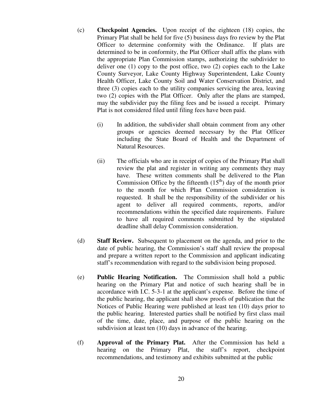- (c) **Checkpoint Agencies.** Upon receipt of the eighteen (18) copies, the Primary Plat shall be held for five (5) business days fro review by the Plat Officer to determine conformity with the Ordinance. If plats are determined to be in conformity, the Plat Officer shall affix the plans with the appropriate Plan Commission stamps, authorizing the subdivider to deliver one (1) copy to the post office, two (2) copies each to the Lake County Surveyor, Lake County Highway Superintendent, Lake County Health Officer, Lake County Soil and Water Conservation District, and three (3) copies each to the utility companies servicing the area, leaving two (2) copies with the Plat Officer. Only after the plans are stamped, may the subdivider pay the filing fees and be issued a receipt. Primary Plat is not considered filed until filing fees have been paid.
	- (i) In addition, the subdivider shall obtain comment from any other groups or agencies deemed necessary by the Plat Officer including the State Board of Health and the Department of Natural Resources.
	- (ii) The officials who are in receipt of copies of the Primary Plat shall review the plat and register in writing any comments they may have. These written comments shall be delivered to the Plan Commission Office by the fifteenth  $(15<sup>th</sup>)$  day of the month prior to the month for which Plan Commission consideration is requested. It shall be the responsibility of the subdivider or his agent to deliver all required comments, reports, and/or recommendations within the specified date requirements. Failure to have all required comments submitted by the stipulated deadline shall delay Commission consideration.
- (d) **Staff Review.** Subsequent to placement on the agenda, and prior to the date of public hearing, the Commission's staff shall review the proposal and prepare a written report to the Commission and applicant indicating staff's recommendation with regard to the subdivision being proposed.
- (e) **Public Hearing Notification.** The Commission shall hold a public hearing on the Primary Plat and notice of such hearing shall be in accordance with I.C. 5-3-1 at the applicant's expense. Before the time of the public hearing, the applicant shall show proofs of publication that the Notices of Public Hearing were published at least ten (10) days prior to the public hearing. Interested parties shall be notified by first class mail of the time, date, place, and purpose of the public hearing on the subdivision at least ten (10) days in advance of the hearing.
- (f) **Approval of the Primary Plat.** After the Commission has held a hearing on the Primary Plat, the staff's report, checkpoint recommendations, and testimony and exhibits submitted at the public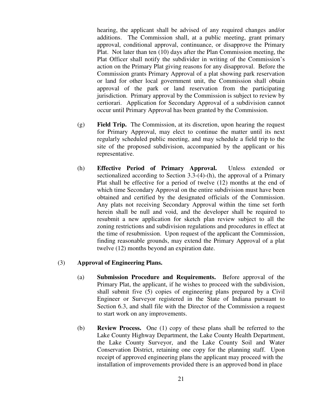hearing, the applicant shall be advised of any required changes and/or additions. The Commission shall, at a public meeting, grant primary approval, conditional approval, continuance, or disapprove the Primary Plat. Not later than ten (10) days after the Plan Commission meeting, the Plat Officer shall notify the subdivider in writing of the Commission's action on the Primary Plat giving reasons for any disapproval. Before the Commission grants Primary Approval of a plat showing park reservation or land for other local government unit, the Commission shall obtain approval of the park or land reservation from the participating jurisdiction. Primary approval by the Commission is subject to review by certiorari. Application for Secondary Approval of a subdivision cannot occur until Primary Approval has been granted by the Commission.

- (g) **Field Trip.** The Commission, at its discretion, upon hearing the request for Primary Approval, may elect to continue the matter until its next regularly scheduled public meeting, and may schedule a field trip to the site of the proposed subdivision, accompanied by the applicant or his representative.
- (h) **Effective Period of Primary Approval.** Unless extended or sectionalized according to Section 3.3-(4)-(h), the approval of a Primary Plat shall be effective for a period of twelve (12) months at the end of which time Secondary Approval on the entire subdivision must have been obtained and certified by the designated officials of the Commission. Any plats not receiving Secondary Approval within the time set forth herein shall be null and void, and the developer shall be required to resubmit a new application for sketch plan review subject to all the zoning restrictions and subdivision regulations and procedures in effect at the time of resubmission. Upon request of the applicant the Commission, finding reasonable grounds, may extend the Primary Approval of a plat twelve (12) months beyond an expiration date.

#### (3) **Approval of Engineering Plans.**

- (a) **Submission Procedure and Requirements.** Before approval of the Primary Plat, the applicant, if he wishes to proceed with the subdivision, shall submit five (5) copies of engineering plans prepared by a Civil Engineer or Surveyor registered in the State of Indiana pursuant to Section 6.3, and shall file with the Director of the Commission a request to start work on any improvements.
- (b) **Review Process.** One (1) copy of these plans shall be referred to the Lake County Highway Department, the Lake County Health Department, the Lake County Surveyor, and the Lake County Soil and Water Conservation District, retaining one copy for the planning staff. Upon receipt of approved engineering plans the applicant may proceed with the installation of improvements provided there is an approved bond in place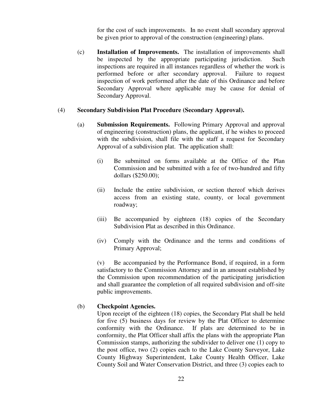for the cost of such improvements. In no event shall secondary approval be given prior to approval of the construction (engineering) plans.

(c) **Installation of Improvements.** The installation of improvements shall be inspected by the appropriate participating jurisdiction. Such inspections are required in all instances regardless of whether the work is performed before or after secondary approval. Failure to request inspection of work performed after the date of this Ordinance and before Secondary Approval where applicable may be cause for denial of Secondary Approval.

#### (4) **Secondary Subdivision Plat Procedure (Secondary Approval).**

- (a) **Submission Requirements.** Following Primary Approval and approval of engineering (construction) plans, the applicant, if he wishes to proceed with the subdivision, shall file with the staff a request for Secondary Approval of a subdivision plat. The application shall:
	- (i) Be submitted on forms available at the Office of the Plan Commission and be submitted with a fee of two-hundred and fifty dollars (\$250.00);
	- (ii) Include the entire subdivision, or section thereof which derives access from an existing state, county, or local government roadway;
	- (iii) Be accompanied by eighteen (18) copies of the Secondary Subdivision Plat as described in this Ordinance.
	- (iv) Comply with the Ordinance and the terms and conditions of Primary Approval;

 (v) Be accompanied by the Performance Bond, if required, in a form satisfactory to the Commission Attorney and in an amount established by the Commission upon recommendation of the participating jurisdiction and shall guarantee the completion of all required subdivision and off-site public improvements.

#### (b) **Checkpoint Agencies.**

Upon receipt of the eighteen (18) copies, the Secondary Plat shall be held for five (5) business days for review by the Plat Officer to determine conformity with the Ordinance. If plats are determined to be in conformity, the Plat Officer shall affix the plans with the appropriate Plan Commission stamps, authorizing the subdivider to deliver one (1) copy to the post office, two (2) copies each to the Lake County Surveyor, Lake County Highway Superintendent, Lake County Health Officer, Lake County Soil and Water Conservation District, and three (3) copies each to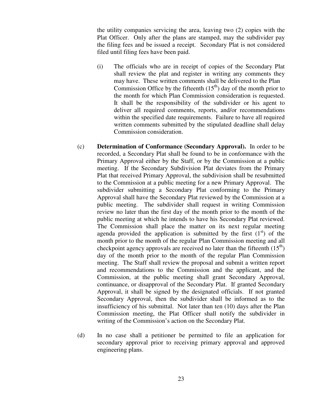the utility companies servicing the area, leaving two (2) copies with the Plat Officer. Only after the plans are stamped, may the subdivider pay the filing fees and be issued a receipt. Secondary Plat is not considered filed until filing fees have been paid.

- (i) The officials who are in receipt of copies of the Secondary Plat shall review the plat and register in writing any comments they may have. These written comments shall be delivered to the Plan Commission Office by the fifteenth  $(15<sup>th</sup>)$  day of the month prior to the month for which Plan Commission consideration is requested. It shall be the responsibility of the subdivider or his agent to deliver all required comments, reports, and/or recommendations within the specified date requirements. Failure to have all required written comments submitted by the stipulated deadline shall delay Commission consideration.
- (c) **Determination of Conformance (Secondary Approval).** In order to be recorded, a Secondary Plat shall be found to be in conformance with the Primary Approval either by the Staff, or by the Commission at a public meeting. If the Secondary Subdivision Plat deviates from the Primary Plat that received Primary Approval, the subdivision shall be resubmitted to the Commission at a public meeting for a new Primary Approval. The subdivider submitting a Secondary Plat conforming to the Primary Approval shall have the Secondary Plat reviewed by the Commission at a public meeting. The subdivider shall request in writing Commission review no later than the first day of the month prior to the month of the public meeting at which he intends to have his Secondary Plat reviewed. The Commission shall place the matter on its next regular meeting agenda provided the application is submitted by the first  $(1<sup>st</sup>)$  of the month prior to the month of the regular Plan Commission meeting and all checkpoint agency approvals are received no later than the fifteenth  $(15<sup>th</sup>)$ day of the month prior to the month of the regular Plan Commission meeting. The Staff shall review the proposal and submit a written report and recommendations to the Commission and the applicant, and the Commission, at the public meeting shall grant Secondary Approval, continuance, or disapproval of the Secondary Plat. If granted Secondary Approval, it shall be signed by the designated officials. If not granted Secondary Approval, then the subdivider shall be informed as to the insufficiency of his submittal. Not later than ten (10) days after the Plan Commission meeting, the Plat Officer shall notify the subdivider in writing of the Commission's action on the Secondary Plat.
- (d) In no case shall a petitioner be permitted to file an application for secondary approval prior to receiving primary approval and approved engineering plans.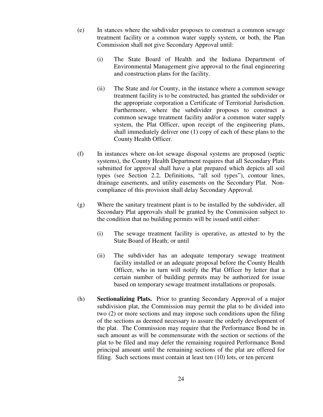- (e) In stances where the subdivider proposes to construct a common sewage treatment facility or a common water supply system, or both, the Plan Commission shall not give Secondary Approval until:
	- (i) The State Board of Health and the Indiana Department of Environmental Management give approval to the final engineering and construction plans for the facility.
	- (ii) The State and /or County, in the instance where a common sewage treatment facility is to be constructed, has granted the subdivider or the appropriate corporation a Certificate of Territorial Jurisdiction. Furthermore, where the subdivider proposes to construct a common sewage treatment facility and/or a common water supply system, the Plat Officer, upon receipt of the engineering plans, shall immediately deliver one (1) copy of each of these plans to the County Health Officer.
- (f) In instances where on-lot sewage disposal systems are proposed (septic systems), the County Health Department requires that all Secondary Plats submitted for approval shall have a plat prepared which depicts all soil types (see Section 2.2, Definitions, "all soil types"), contour lines, drainage easements, and utility easements on the Secondary Plat. Noncompliance of this provision shall delay Secondary Approval.
- (g) Where the sanitary treatment plant is to be installed by the subdivider, all Secondary Plat approvals shall be granted by the Commission subject to the condition that no building permits will be issued until either:
	- (i) The sewage treatment facility is operative, as attested to by the State Board of Heath; or until
	- (ii) The subdivider has an adequate temporary sewage treatment facility installed or an adequate proposal before the County Health Officer, who in turn will notify the Plat Officer by letter that a certain number of building permits may be authorized for issue based on temporary sewage treatment installations or proposals.
- (h) **Sectionalizing Plats.** Prior to granting Secondary Approval of a major subdivision plat, the Commission may permit the plat to be divided into two (2) or more sections and may impose such conditions upon the filing of the sections as deemed necessary to assure the orderly development of the plat. The Commission may require that the Performance Bond be in such amount as will be commensurate with the section or sections of the plat to be filed and may defer the remaining required Performance Bond principal amount until the remaining sections of the plat are offered for filing. Such sections must contain at least ten (10) lots, or ten percent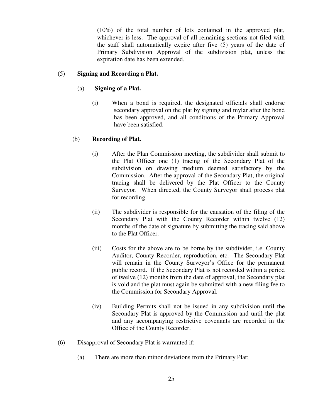(10%) of the total number of lots contained in the approved plat, whichever is less. The approval of all remaining sections not filed with the staff shall automatically expire after five (5) years of the date of Primary Subdivision Approval of the subdivision plat, unless the expiration date has been extended.

#### (5) **Signing and Recording a Plat.**

#### (a) **Signing of a Plat.**

(i) When a bond is required, the designated officials shall endorse secondary approval on the plat by signing and mylar after the bond has been approved, and all conditions of the Primary Approval have been satisfied.

#### (b) **Recording of Plat.**

- (i) After the Plan Commission meeting, the subdivider shall submit to the Plat Officer one (1) tracing of the Secondary Plat of the subdivision on drawing medium deemed satisfactory by the Commission. After the approval of the Secondary Plat, the original tracing shall be delivered by the Plat Officer to the County Surveyor. When directed, the County Surveyor shall process plat for recording.
- (ii) The subdivider is responsible for the causation of the filing of the Secondary Plat with the County Recorder within twelve (12) months of the date of signature by submitting the tracing said above to the Plat Officer.
- (iii) Costs for the above are to be borne by the subdivider, i.e. County Auditor, County Recorder, reproduction, etc. The Secondary Plat will remain in the County Surveyor's Office for the permanent public record. If the Secondary Plat is not recorded within a period of twelve (12) months from the date of approval, the Secondary plat is void and the plat must again be submitted with a new filing fee to the Commission for Secondary Approval.
- (iv) Building Permits shall not be issued in any subdivision until the Secondary Plat is approved by the Commission and until the plat and any accompanying restrictive covenants are recorded in the Office of the County Recorder.
- (6) Disapproval of Secondary Plat is warranted if:
	- (a) There are more than minor deviations from the Primary Plat;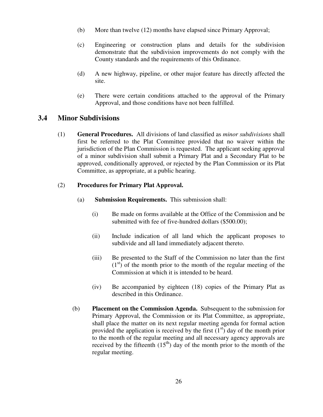- (b) More than twelve (12) months have elapsed since Primary Approval;
- (c) Engineering or construction plans and details for the subdivision demonstrate that the subdivision improvements do not comply with the County standards and the requirements of this Ordinance.
- (d) A new highway, pipeline, or other major feature has directly affected the site.
- (e) There were certain conditions attached to the approval of the Primary Approval, and those conditions have not been fulfilled.

# **3.4 Minor Subdivisions**

(1) **General Procedures.** All divisions of land classified as *minor subdivisions* shall first be referred to the Plat Committee provided that no waiver within the jurisdiction of the Plan Commission is requested. The applicant seeking approval of a minor subdivision shall submit a Primary Plat and a Secondary Plat to be approved, conditionally approved, or rejected by the Plan Commission or its Plat Committee, as appropriate, at a public hearing.

## (2) **Procedures for Primary Plat Approval.**

- (a) **Submission Requirements.** This submission shall:
	- (i) Be made on forms available at the Office of the Commission and be submitted with fee of five-hundred dollars (\$500.00);
	- (ii) Include indication of all land which the applicant proposes to subdivide and all land immediately adjacent thereto.
	- (iii) Be presented to the Staff of the Commission no later than the first  $(1<sup>st</sup>)$  of the month prior to the month of the regular meeting of the Commission at which it is intended to be heard.
	- (iv) Be accompanied by eighteen (18) copies of the Primary Plat as described in this Ordinance.
- (b) **Placement on the Commission Agenda.** Subsequent to the submission for Primary Approval, the Commission or its Plat Committee, as appropriate, shall place the matter on its next regular meeting agenda for formal action provided the application is received by the first  $(1<sup>st</sup>)$  day of the month prior to the month of the regular meeting and all necessary agency approvals are received by the fifteenth  $(15<sup>th</sup>)$  day of the month prior to the month of the regular meeting.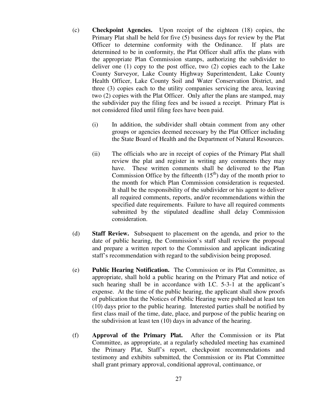- (c) **Checkpoint Agencies.** Upon receipt of the eighteen (18) copies, the Primary Plat shall be held for five (5) business days for review by the Plat Officer to determine conformity with the Ordinance. If plats are determined to be in conformity, the Plat Officer shall affix the plans with the appropriate Plan Commission stamps, authorizing the subdivider to deliver one (1) copy to the post office, two (2) copies each to the Lake County Surveyor, Lake County Highway Superintendent, Lake County Health Officer, Lake County Soil and Water Conservation District, and three (3) copies each to the utility companies servicing the area, leaving two (2) copies with the Plat Officer. Only after the plans are stamped, may the subdivider pay the filing fees and be issued a receipt. Primary Plat is not considered filed until filing fees have been paid.
	- (i) In addition, the subdivider shall obtain comment from any other groups or agencies deemed necessary by the Plat Officer including the State Board of Health and the Department of Natural Resources.
	- (ii) The officials who are in receipt of copies of the Primary Plat shall review the plat and register in writing any comments they may have. These written comments shall be delivered to the Plan Commission Office by the fifteenth  $(15<sup>th</sup>)$  day of the month prior to the month for which Plan Commission consideration is requested. It shall be the responsibility of the subdivider or his agent to deliver all required comments, reports, and/or recommendations within the specified date requirements. Failure to have all required comments submitted by the stipulated deadline shall delay Commission consideration.
- (d) **Staff Review.** Subsequent to placement on the agenda, and prior to the date of public hearing, the Commission's staff shall review the proposal and prepare a written report to the Commission and applicant indicating staff's recommendation with regard to the subdivision being proposed.
- (e) **Public Hearing Notification.** The Commission or its Plat Committee, as appropriate, shall hold a public hearing on the Primary Plat and notice of such hearing shall be in accordance with I.C. 5-3-1 at the applicant's expense. At the time of the public hearing, the applicant shall show proofs of publication that the Notices of Public Hearing were published at least ten (10) days prior to the public hearing. Interested parties shall be notified by first class mail of the time, date, place, and purpose of the public hearing on the subdivision at least ten (10) days in advance of the hearing.
- (f) **Approval of the Primary Plat.** After the Commission or its Plat Committee, as appropriate, at a regularly scheduled meeting has examined the Primary Plat, Staff's report, checkpoint recommendations and testimony and exhibits submitted, the Commission or its Plat Committee shall grant primary approval, conditional approval, continuance, or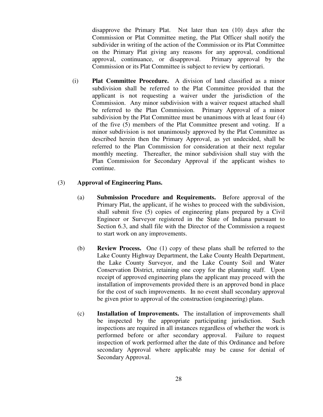disapprove the Primary Plat. Not later than ten (10) days after the Commission or Plat Committee meting, the Plat Officer shall notify the subdivider in writing of the action of the Commission or its Plat Committee on the Primary Plat giving any reasons for any approval, conditional approval, continuance, or disapproval. Primary approval by the Commission or its Plat Committee is subject to review by certiorari.

(i) **Plat Committee Procedure.** A division of land classified as a minor subdivision shall be referred to the Plat Committee provided that the applicant is not requesting a waiver under the jurisdiction of the Commission. Any minor subdivision with a waiver request attached shall be referred to the Plan Commission. Primary Approval of a minor subdivision by the Plat Committee must be unanimous with at least four (4) of the five (5) members of the Plat Committee present and voting. If a minor subdivision is not unanimously approved by the Plat Committee as described herein then the Primary Approval, as yet undecided, shall be referred to the Plan Commission for consideration at their next regular monthly meeting. Thereafter, the minor subdivision shall stay with the Plan Commission for Secondary Approval if the applicant wishes to continue.

### (3) **Approval of Engineering Plans.**

- (a) **Submission Procedure and Requirements.** Before approval of the Primary Plat, the applicant, if he wishes to proceed with the subdivision, shall submit five (5) copies of engineering plans prepared by a Civil Engineer or Surveyor registered in the State of Indiana pursuant to Section 6.3, and shall file with the Director of the Commission a request to start work on any improvements.
- (b) **Review Process.** One (1) copy of these plans shall be referred to the Lake County Highway Department, the Lake County Health Department, the Lake County Surveyor, and the Lake County Soil and Water Conservation District, retaining one copy for the planning staff. Upon receipt of approved engineering plans the applicant may proceed with the installation of improvements provided there is an approved bond in place for the cost of such improvements. In no event shall secondary approval be given prior to approval of the construction (engineering) plans.
- (c) **Installation of Improvements.** The installation of improvements shall be inspected by the appropriate participating jurisdiction. Such inspections are required in all instances regardless of whether the work is performed before or after secondary approval. Failure to request inspection of work performed after the date of this Ordinance and before secondary Approval where applicable may be cause for denial of Secondary Approval.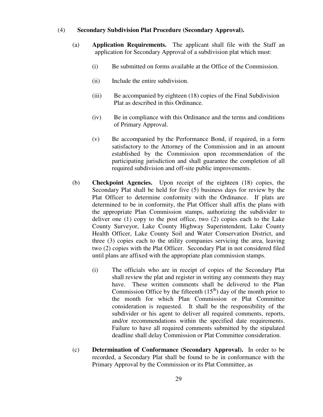#### (4) **Secondary Subdivision Plat Procedure (Secondary Approval).**

- (a) **Application Requirements.** The applicant shall file with the Staff an application for Secondary Approval of a subdivision plat which must:
	- (i) Be submitted on forms available at the Office of the Commission.
	- (ii) Include the entire subdivision.
	- (iii) Be accompanied by eighteen (18) copies of the Final Subdivision Plat as described in this Ordinance.
	- (iv) Be in compliance with this Ordinance and the terms and conditions of Primary Approval.
	- (v) Be accompanied by the Performance Bond, if required, in a form satisfactory to the Attorney of the Commission and in an amount established by the Commission upon recommendation of the participating jurisdiction and shall guarantee the completion of all required subdivision and off-site public improvements.
- (b) **Checkpoint Agencies.** Upon receipt of the eighteen (18) copies, the Secondary Plat shall be held for five (5) business days for review by the Plat Officer to determine conformity with the Ordinance. If plats are determined to be in conformity, the Plat Officer shall affix the plans with the appropriate Plan Commission stamps, authorizing the subdivider to deliver one (1) copy to the post office, two (2) copies each to the Lake County Surveyor, Lake County Highway Superintendent, Lake County Health Officer, Lake County Soil and Water Conservation District, and three (3) copies each to the utility companies servicing the area, leaving two (2) copies with the Plat Officer. Secondary Plat in not considered filed until plans are affixed with the appropriate plan commission stamps.
	- (i) The officials who are in receipt of copies of the Secondary Plat shall review the plat and register in writing any comments they may have. These written comments shall be delivered to the Plan Commission Office by the fifteenth  $(15<sup>th</sup>)$  day of the month prior to the month for which Plan Commission or Plat Committee consideration is requested. It shall be the responsibility of the subdivider or his agent to deliver all required comments, reports, and/or recommendations within the specified date requirements. Failure to have all required comments submitted by the stipulated deadline shall delay Commission or Plat Committee consideration.
- (c) **Determination of Conformance (Secondary Approval).** In order to be recorded, a Secondary Plat shall be found to be in conformance with the Primary Approval by the Commission or its Plat Committee, as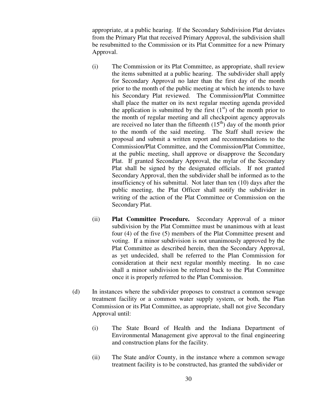appropriate, at a public hearing. If the Secondary Subdivision Plat deviates from the Primary Plat that received Primary Approval, the subdivision shall be resubmitted to the Commission or its Plat Committee for a new Primary Approval.

- (i) The Commission or its Plat Committee, as appropriate, shall review the items submitted at a public hearing. The subdivider shall apply for Secondary Approval no later than the first day of the month prior to the month of the public meeting at which he intends to have his Secondary Plat reviewed. The Commission/Plat Committee shall place the matter on its next regular meeting agenda provided the application is submitted by the first  $(1<sup>st</sup>)$  of the month prior to the month of regular meeting and all checkpoint agency approvals are received no later than the fifteenth  $(15<sup>th</sup>)$  day of the month prior to the month of the said meeting. The Staff shall review the proposal and submit a written report and recommendations to the Commission/Plat Committee, and the Commission/Plat Committee, at the public meeting, shall approve or disapprove the Secondary Plat. If granted Secondary Approval, the mylar of the Secondary Plat shall be signed by the designated officials. If not granted Secondary Approval, then the subdivider shall be informed as to the insufficiency of his submittal. Not later than ten (10) days after the public meeting, the Plat Officer shall notify the subdivider in writing of the action of the Plat Committee or Commission on the Secondary Plat.
- (ii) **Plat Committee Procedure.** Secondary Approval of a minor subdivision by the Plat Committee must be unanimous with at least four (4) of the five (5) members of the Plat Committee present and voting. If a minor subdivision is not unanimously approved by the Plat Committee as described herein, then the Secondary Approval, as yet undecided, shall be referred to the Plan Commission for consideration at their next regular monthly meeting. In no case shall a minor subdivision be referred back to the Plat Committee once it is properly referred to the Plan Commission.
- (d) In instances where the subdivider proposes to construct a common sewage treatment facility or a common water supply system, or both, the Plan Commission or its Plat Committee, as appropriate, shall not give Secondary Approval until:
	- (i) The State Board of Health and the Indiana Department of Environmental Management give approval to the final engineering and construction plans for the facility.
	- (ii) The State and/or County, in the instance where a common sewage treatment facility is to be constructed, has granted the subdivider or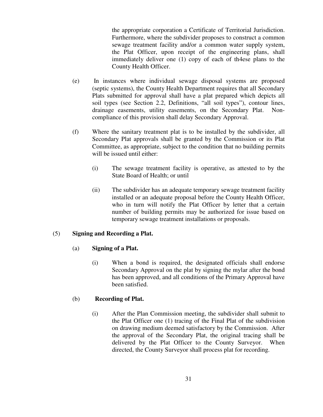the appropriate corporation a Certificate of Territorial Jurisdiction. Furthermore, where the subdivider proposes to construct a common sewage treatment facility and/or a common water supply system, the Plat Officer, upon receipt of the engineering plans, shall immediately deliver one (1) copy of each of th4ese plans to the County Health Officer.

- (e) In instances where individual sewage disposal systems are proposed (septic systems), the County Health Department requires that all Secondary Plats submitted for approval shall have a plat prepared which depicts all soil types (see Section 2.2, Definitions, "all soil types"), contour lines, drainage easements, utility easements, on the Secondary Plat. Noncompliance of this provision shall delay Secondary Approval.
- (f) Where the sanitary treatment plat is to be installed by the subdivider, all Secondary Plat approvals shall be granted by the Commission or its Plat Committee, as appropriate, subject to the condition that no building permits will be issued until either:
	- (i) The sewage treatment facility is operative, as attested to by the State Board of Health; or until
	- (ii) The subdivider has an adequate temporary sewage treatment facility installed or an adequate proposal before the County Health Officer, who in turn will notify the Plat Officer by letter that a certain number of building permits may be authorized for issue based on temporary sewage treatment installations or proposals.

## (5) **Signing and Recording a Plat.**

## (a) **Signing of a Plat.**

(i) When a bond is required, the designated officials shall endorse Secondary Approval on the plat by signing the mylar after the bond has been approved, and all conditions of the Primary Approval have been satisfied.

## (b) **Recording of Plat.**

(i) After the Plan Commission meeting, the subdivider shall submit to the Plat Officer one (1) tracing of the Final Plat of the subdivision on drawing medium deemed satisfactory by the Commission. After the approval of the Secondary Plat, the original tracing shall be delivered by the Plat Officer to the County Surveyor. When directed, the County Surveyor shall process plat for recording.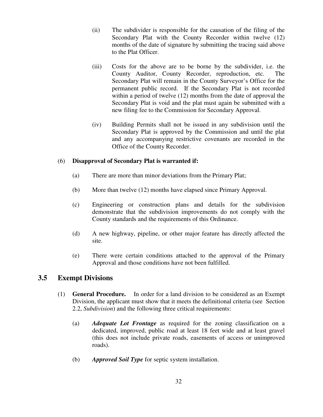- (ii) The subdivider is responsible for the causation of the filing of the Secondary Plat with the County Recorder within twelve (12) months of the date of signature by submitting the tracing said above to the Plat Officer.
- (iii) Costs for the above are to be borne by the subdivider, i.e. the County Auditor, County Recorder, reproduction, etc. Secondary Plat will remain in the County Surveyor's Office for the permanent public record. If the Secondary Plat is not recorded within a period of twelve (12) months from the date of approval the Secondary Plat is void and the plat must again be submitted with a new filing fee to the Commission for Secondary Approval.
- (iv) Building Permits shall not be issued in any subdivision until the Secondary Plat is approved by the Commission and until the plat and any accompanying restrictive covenants are recorded in the Office of the County Recorder.

### (6) **Disapproval of Secondary Plat is warranted if:**

- (a) There are more than minor deviations from the Primary Plat;
- (b) More than twelve (12) months have elapsed since Primary Approval.
- (c) Engineering or construction plans and details for the subdivision demonstrate that the subdivision improvements do not comply with the County standards and the requirements of this Ordinance.
- (d) A new highway, pipeline, or other major feature has directly affected the site.
- (e) There were certain conditions attached to the approval of the Primary Approval and those conditions have not been fulfilled.

# **3.5 Exempt Divisions**

- (1) **General Procedure.** In order for a land division to be considered as an Exempt Division, the applicant must show that it meets the definitional criteria (see Section 2.2, *Subdivision*) and the following three critical requirements:
	- (a) *Adequate Lot Frontage* as required for the zoning classification on a dedicated, improved, public road at least 18 feet wide and at least gravel (this does not include private roads, easements of access or unimproved roads).
	- (b) *Approved Soil Type* for septic system installation.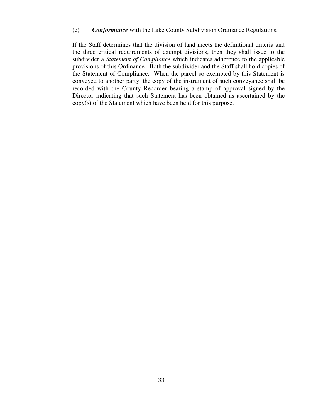(c) *Conformance* with the Lake County Subdivision Ordinance Regulations.

 If the Staff determines that the division of land meets the definitional criteria and the three critical requirements of exempt divisions, then they shall issue to the subdivider a *Statement of Compliance* which indicates adherence to the applicable provisions of this Ordinance. Both the subdivider and the Staff shall hold copies of the Statement of Compliance. When the parcel so exempted by this Statement is conveyed to another party, the copy of the instrument of such conveyance shall be recorded with the County Recorder bearing a stamp of approval signed by the Director indicating that such Statement has been obtained as ascertained by the copy(s) of the Statement which have been held for this purpose.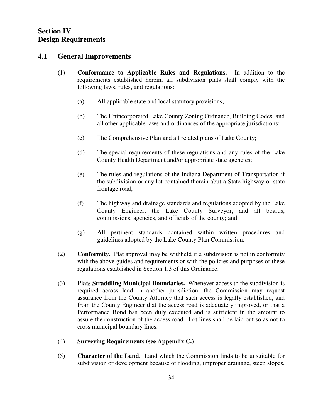## **Section IV Design Requirements**

### **4.1 General Improvements**

- (1) **Conformance to Applicable Rules and Regulations.** In addition to the requirements established herein, all subdivision plats shall comply with the following laws, rules, and regulations:
	- (a) All applicable state and local statutory provisions;
	- (b) The Unincorporated Lake County Zoning Ordnance, Building Codes, and all other applicable laws and ordinances of the appropriate jurisdictions;
	- (c) The Comprehensive Plan and all related plans of Lake County;
	- (d) The special requirements of these regulations and any rules of the Lake County Health Department and/or appropriate state agencies;
	- (e) The rules and regulations of the Indiana Department of Transportation if the subdivision or any lot contained therein abut a State highway or state frontage road;
	- (f) The highway and drainage standards and regulations adopted by the Lake County Engineer, the Lake County Surveyor, and all boards, commissions, agencies, and officials of the county; and,
	- (g) All pertinent standards contained within written procedures and guidelines adopted by the Lake County Plan Commission.
- (2) **Conformity.** Plat approval may be withheld if a subdivision is not in conformity with the above guides and requirements or with the policies and purposes of these regulations established in Section 1.3 of this Ordinance.
- (3) **Plats Straddling Municipal Boundaries.** Whenever access to the subdivision is required across land in another jurisdiction, the Commission may request assurance from the County Attorney that such access is legally established, and from the County Engineer that the access road is adequately improved, or that a Performance Bond has been duly executed and is sufficient in the amount to assure the construction of the access road. Lot lines shall be laid out so as not to cross municipal boundary lines.
- (4) **Surveying Requirements (see Appendix C.)**
- (5) **Character of the Land.** Land which the Commission finds to be unsuitable for subdivision or development because of flooding, improper drainage, steep slopes,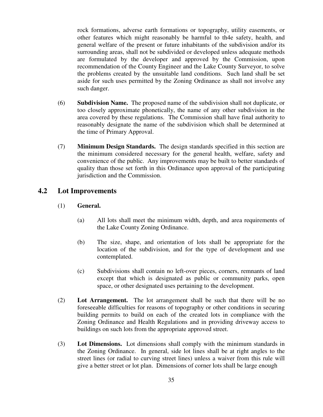rock formations, adverse earth formations or topography, utility easements, or other features which might reasonably be harmful to th4e safety, health, and general welfare of the present or future inhabitants of the subdivision and/or its surrounding areas, shall not be subdivided or developed unless adequate methods are formulated by the developer and approved by the Commission, upon recommendation of the County Engineer and the Lake County Surveyor, to solve the problems created by the unsuitable land conditions. Such land shall be set aside for such uses permitted by the Zoning Ordinance as shall not involve any such danger.

- (6) **Subdivision Name.** The proposed name of the subdivision shall not duplicate, or too closely approximate phonetically, the name of any other subdivision in the area covered by these regulations. The Commission shall have final authority to reasonably designate the name of the subdivision which shall be determined at the time of Primary Approval.
- (7) **Minimum Design Standards.** The design standards specified in this section are the minimum considered necessary for the general health, welfare, safety and convenience of the public. Any improvements may be built to better standards of quality than those set forth in this Ordinance upon approval of the participating jurisdiction and the Commission.

### **4.2 Lot Improvements**

#### (1) **General.**

- (a) All lots shall meet the minimum width, depth, and area requirements of the Lake County Zoning Ordinance.
- (b) The size, shape, and orientation of lots shall be appropriate for the location of the subdivision, and for the type of development and use contemplated.
- (c) Subdivisions shall contain no left-over pieces, corners, remnants of land except that which is designated as public or community parks, open space, or other designated uses pertaining to the development.
- (2) **Lot Arrangement.** The lot arrangement shall be such that there will be no foreseeable difficulties for reasons of topography or other conditions in securing building permits to build on each of the created lots in compliance with the Zoning Ordinance and Health Regulations and in providing driveway access to buildings on such lots from the appropriate approved street.
- (3) **Lot Dimensions.** Lot dimensions shall comply with the minimum standards in the Zoning Ordinance. In general, side lot lines shall be at right angles to the street lines (or radial to curving street lines) unless a waiver from this rule will give a better street or lot plan. Dimensions of corner lots shall be large enough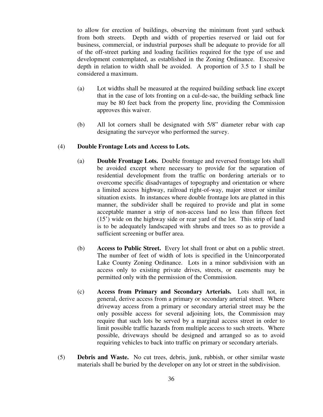to allow for erection of buildings, observing the minimum front yard setback from both streets. Depth and width of properties reserved or laid out for business, commercial, or industrial purposes shall be adequate to provide for all of the off-street parking and loading facilities required for the type of use and development contemplated, as established in the Zoning Ordinance. Excessive depth in relation to width shall be avoided. A proportion of 3.5 to 1 shall be considered a maximum.

- (a) Lot widths shall be measured at the required building setback line except that in the case of lots fronting on a cul-de-sac, the building setback line may be 80 feet back from the property line, providing the Commission approves this waiver.
- (b) All lot corners shall be designated with 5/8" diameter rebar with cap designating the surveyor who performed the survey.

#### (4) **Double Frontage Lots and Access to Lots.**

- (a) **Double Frontage Lots.** Double frontage and reversed frontage lots shall be avoided except where necessary to provide for the separation of residential development from the traffic on bordering arterials or to overcome specific disadvantages of topography and orientation or where a limited access highway, railroad right-of-way, major street or similar situation exists. In instances where double frontage lots are platted in this manner, the subdivider shall be required to provide and plat in some acceptable manner a strip of non-access land no less than fifteen feet (15') wide on the highway side or rear yard of the lot. This strip of land is to be adequately landscaped with shrubs and trees so as to provide a sufficient screening or buffer area.
- (b) **Access to Public Street.** Every lot shall front or abut on a public street. The number of feet of width of lots is specified in the Unincorporated Lake County Zoning Ordinance. Lots in a minor subdivision with an access only to existing private drives, streets, or easements may be permitted only with the permission of the Commission.
- (c) **Access from Primary and Secondary Arterials.** Lots shall not, in general, derive access from a primary or secondary arterial street. Where driveway access from a primary or secondary arterial street may be the only possible access for several adjoining lots, the Commission may require that such lots be served by a marginal access street in order to limit possible traffic hazards from multiple access to such streets. Where possible, driveways should be designed and arranged so as to avoid requiring vehicles to back into traffic on primary or secondary arterials.
- (5) **Debris and Waste.** No cut trees, debris, junk, rubbish, or other similar waste materials shall be buried by the developer on any lot or street in the subdivision.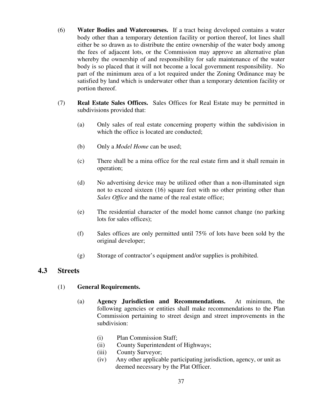- (6) **Water Bodies and Watercourses.** If a tract being developed contains a water body other than a temporary detention facility or portion thereof, lot lines shall either be so drawn as to distribute the entire ownership of the water body among the fees of adjacent lots, or the Commission may approve an alternative plan whereby the ownership of and responsibility for safe maintenance of the water body is so placed that it will not become a local government responsibility. No part of the minimum area of a lot required under the Zoning Ordinance may be satisfied by land which is underwater other than a temporary detention facility or portion thereof.
- (7) **Real Estate Sales Offices.** Sales Offices for Real Estate may be permitted in subdivisions provided that:
	- (a) Only sales of real estate concerning property within the subdivision in which the office is located are conducted:
	- (b) Only a *Model Home* can be used;
	- (c) There shall be a mina office for the real estate firm and it shall remain in operation;
	- (d) No advertising device may be utilized other than a non-illuminated sign not to exceed sixteen (16) square feet with no other printing other than *Sales Office* and the name of the real estate office;
	- (e) The residential character of the model home cannot change (no parking lots for sales offices);
	- (f) Sales offices are only permitted until 75% of lots have been sold by the original developer;
	- (g) Storage of contractor's equipment and/or supplies is prohibited.

### **4.3 Streets**

- (1) **General Requirements.** 
	- (a) **Agency Jurisdiction and Recommendations.** At minimum, the following agencies or entities shall make recommendations to the Plan Commission pertaining to street design and street improvements in the subdivision:
		- (i) Plan Commission Staff;
		- (ii) County Superintendent of Highways;
		- (iii) County Surveyor;
		- (iv) Any other applicable participating jurisdiction, agency, or unit as deemed necessary by the Plat Officer.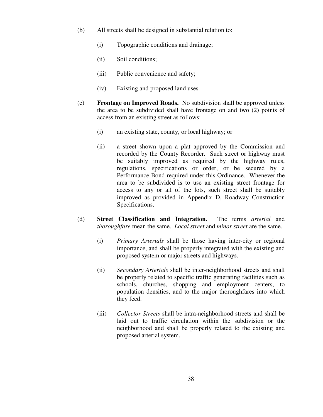- (b) All streets shall be designed in substantial relation to:
	- (i) Topographic conditions and drainage;
	- (ii) Soil conditions;
	- (iii) Public convenience and safety;
	- (iv) Existing and proposed land uses.
- (c) **Frontage on Improved Roads.** No subdivision shall be approved unless the area to be subdivided shall have frontage on and two (2) points of access from an existing street as follows:
	- (i) an existing state, county, or local highway; or
	- (ii) a street shown upon a plat approved by the Commission and recorded by the County Recorder. Such street or highway must be suitably improved as required by the highway rules, regulations, specifications or order, or be secured by a Performance Bond required under this Ordinance. Whenever the area to be subdivided is to use an existing street frontage for access to any or all of the lots, such street shall be suitably improved as provided in Appendix D, Roadway Construction Specifications.
- (d) **Street Classification and Integration.** The terms *arterial* and *thoroughfare* mean the same. *Local street* and *minor street* are the same.
	- (i) *Primary Arterials* shall be those having inter-city or regional importance, and shall be properly integrated with the existing and proposed system or major streets and highways.
	- (ii) *Secondary Arterials* shall be inter-neighborhood streets and shall be properly related to specific traffic generating facilities such as schools, churches, shopping and employment centers, to population densities, and to the major thoroughfares into which they feed.
	- (iii) *Collector Streets* shall be intra-neighborhood streets and shall be laid out to traffic circulation within the subdivision or the neighborhood and shall be properly related to the existing and proposed arterial system.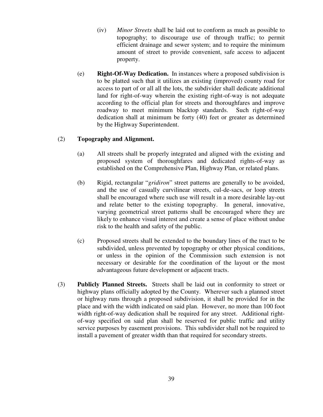- (iv) *Minor Streets* shall be laid out to conform as much as possible to topography; to discourage use of through traffic; to permit efficient drainage and sewer system; and to require the minimum amount of street to provide convenient, safe access to adjacent property.
- (e) **Right-Of-Way Dedication.** In instances where a proposed subdivision is to be platted such that it utilizes an existing (improved) county road for access to part of or all all the lots, the subdivider shall dedicate additional land for right-of-way wherein the existing right-of-way is not adequate according to the official plan for streets and thoroughfares and improve roadway to meet minimum blacktop standards. Such right-of-way dedication shall at minimum be forty (40) feet or greater as determined by the Highway Superintendent.

#### (2) **Topography and Alignment.**

- (a) All streets shall be properly integrated and aligned with the existing and proposed system of thoroughfares and dedicated rights-of-way as established on the Comprehensive Plan, Highway Plan, or related plans.
- (b) Rigid, rectangular "*gridiron*" street patterns are generally to be avoided, and the use of casually curvilinear streets, cul-de-sacs, or loop streets shall be encouraged where such use will result in a more desirable lay-out and relate better to the existing topography. In general, innovative, varying geometrical street patterns shall be encouraged where they are likely to enhance visual interest and create a sense of place without undue risk to the health and safety of the public.
- (c) Proposed streets shall be extended to the boundary lines of the tract to be subdivided, unless prevented by topography or other physical conditions, or unless in the opinion of the Commission such extension is not necessary or desirable for the coordination of the layout or the most advantageous future development or adjacent tracts.
- (3) **Publicly Planned Streets.** Streets shall be laid out in conformity to street or highway plans officially adopted by the County. Wherever such a planned street or highway runs through a proposed subdivision, it shall be provided for in the place and with the width indicated on said plan. However, no more than 100 foot width right-of-way dedication shall be required for any street. Additional rightof-way specified on said plan shall be reserved for public traffic and utility service purposes by easement provisions. This subdivider shall not be required to install a pavement of greater width than that required for secondary streets.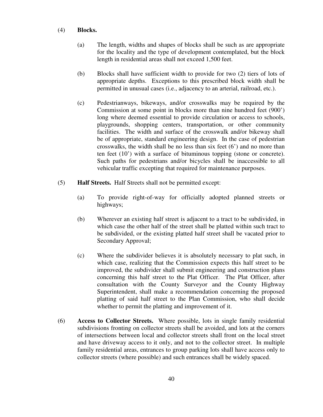#### (4) **Blocks.**

- (a) The length, widths and shapes of blocks shall be such as are appropriate for the locality and the type of development contemplated, but the block length in residential areas shall not exceed 1,500 feet.
- (b) Blocks shall have sufficient width to provide for two (2) tiers of lots of appropriate depths. Exceptions to this prescribed block width shall be permitted in unusual cases (i.e., adjacency to an arterial, railroad, etc.).
- (c) Pedestrianways, bikeways, and/or crosswalks may be required by the Commission at some point in blocks more than nine hundred feet (900') long where deemed essential to provide circulation or access to schools, playgrounds, shopping centers, transportation, or other community facilities. The width and surface of the crosswalk and/or bikeway shall be of appropriate, standard engineering design. In the case of pedestrian crosswalks, the width shall be no less than six feet (6') and no more than ten feet (10') with a surface of bituminous topping (stone or concrete). Such paths for pedestrians and/or bicycles shall be inaccessible to all vehicular traffic excepting that required for maintenance purposes.
- (5) **Half Streets.** Half Streets shall not be permitted except:
	- (a) To provide right-of-way for officially adopted planned streets or highways;
	- (b) Wherever an existing half street is adjacent to a tract to be subdivided, in which case the other half of the street shall be platted within such tract to be subdivided, or the existing platted half street shall be vacated prior to Secondary Approval;
	- (c) Where the subdivider believes it is absolutely necessary to plat such, in which case, realizing that the Commission expects this half street to be improved, the subdivider shall submit engineering and construction plans concerning this half street to the Plat Officer. The Plat Officer, after consultation with the County Surveyor and the County Highway Superintendent, shall make a recommendation concerning the proposed platting of said half street to the Plan Commission, who shall decide whether to permit the platting and improvement of it.
- (6) **Access to Collector Streets.** Where possible, lots in single family residential subdivisions fronting on collector streets shall be avoided, and lots at the corners of intersections between local and collector streets shall front on the local street and have driveway access to it only, and not to the collector street. In multiple family residential areas, entrances to group parking lots shall have access only to collector streets (where possible) and such entrances shall be widely spaced.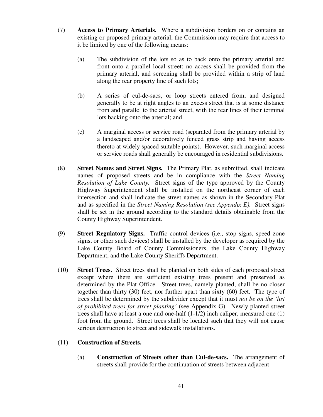- (7) **Access to Primary Arterials.** Where a subdivision borders on or contains an existing or proposed primary arterial, the Commission may require that access to it be limited by one of the following means:
	- (a) The subdivision of the lots so as to back onto the primary arterial and front onto a parallel local street; no access shall be provided from the primary arterial, and screening shall be provided within a strip of land along the rear property line of such lots;
	- (b) A series of cul-de-sacs, or loop streets entered from, and designed generally to be at right angles to an excess street that is at some distance from and parallel to the arterial street, with the rear lines of their terminal lots backing onto the arterial; and
	- (c) A marginal access or service road (separated from the primary arterial by a landscaped and/or decoratively fenced grass strip and having access thereto at widely spaced suitable points). However, such marginal access or service roads shall generally be encouraged in residential subdivisions.
- (8) **Street Names and Street Signs.** The Primary Plat, as submitted, shall indicate names of proposed streets and be in compliance with the *Street Naming Resolution of Lake County.* Street signs of the type approved by the County Highway Superintendent shall be installed on the northeast corner of each intersection and shall indicate the street names as shown in the Secondary Plat and as specified in the *Street Naming Resolution (see Appendix E).* Street signs shall be set in the ground according to the standard details obtainable from the County Highway Superintendent.
- (9) **Street Regulatory Signs.** Traffic control devices (i.e., stop signs, speed zone signs, or other such devices) shall be installed by the developer as required by the Lake County Board of County Commissioners, the Lake County Highway Department, and the Lake County Sheriffs Department.
- (10) **Street Trees.** Street trees shall be planted on both sides of each proposed street except where there are sufficient existing trees present and preserved as determined by the Plat Office. Street trees, namely planted, shall be no closer together than thirty (30) feet, nor further apart than sixty (60) feet. The type of trees shall be determined by the subdivider except that it must *not be on the 'list of prohibited trees for street planting'* (see Appendix G). Newly planted street trees shall have at least a one and one-half (1-1/2) inch caliper, measured one (1) foot from the ground. Street trees shall be located such that they will not cause serious destruction to street and sidewalk installations.

#### (11) **Construction of Streets.**

(a) **Construction of Streets other than Cul-de-sacs.** The arrangement of streets shall provide for the continuation of streets between adjacent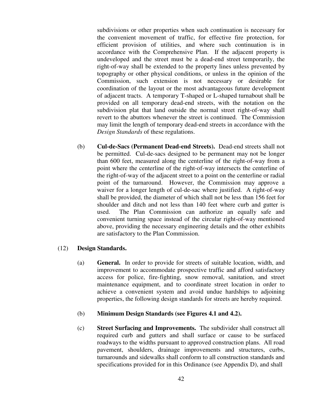subdivisions or other properties when such continuation is necessary for the convenient movement of traffic, for effective fire protection, for efficient provision of utilities, and where such continuation is in accordance with the Comprehensive Plan. If the adjacent property is undeveloped and the street must be a dead-end street temporarily, the right-of-way shall be extended to the property lines unless prevented by topography or other physical conditions, or unless in the opinion of the Commission, such extension is not necessary or desirable for coordination of the layout or the most advantageous future development of adjacent tracts. A temporary T-shaped or L-shaped turnabout shall be provided on all temporary dead-end streets, with the notation on the subdivision plat that land outside the normal street right-of-way shall revert to the abuttors whenever the street is continued. The Commission may limit the length of temporary dead-end streets in accordance with the *Design Standards* of these regulations.

(b) **Cul-de-Sacs (Permanent Dead-end Streets).** Dead-end streets shall not be permitted. Cul-de-sacs designed to be permanent may not be longer than 600 feet, measured along the centerline of the right-of-way from a point where the centerline of the right-of-way intersects the centerline of the right-of-way of the adjacent street to a point on the centerline or radial point of the turnaround. However, the Commission may approve a waiver for a longer length of cul-de-sac where justified. A right-of-way shall be provided, the diameter of which shall not be less than 156 feet for shoulder and ditch and not less than 140 feet where curb and gutter is used. The Plan Commission can authorize an equally safe and convenient turning space instead of the circular right-of-way mentioned above, providing the necessary engineering details and the other exhibits are satisfactory to the Plan Commission.

#### (12) **Design Standards.**

(a) **General.** In order to provide for streets of suitable location, width, and improvement to accommodate prospective traffic and afford satisfactory access for police, fire-fighting, snow removal, sanitation, and street maintenance equipment, and to coordinate street location in order to achieve a convenient system and avoid undue hardships to adjoining properties, the following design standards for streets are hereby required.

#### (b) **Minimum Design Standards (see Figures 4.1 and 4.2).**

(c) **Street Surfacing and Improvements.** The subdivider shall construct all required curb and gutters and shall surface or cause to be surfaced roadways to the widths pursuant to approved construction plans. All road pavement, shoulders, drainage improvements and structures, curbs, turnarounds and sidewalks shall conform to all construction standards and specifications provided for in this Ordinance (see Appendix D), and shall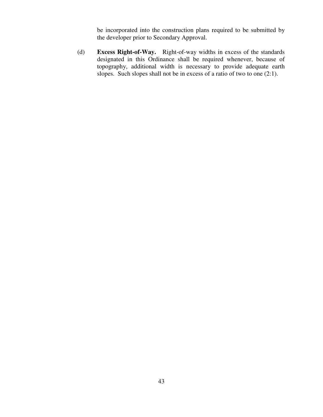be incorporated into the construction plans required to be submitted by the developer prior to Secondary Approval.

(d) **Excess Right-of-Way.** Right-of-way widths in excess of the standards designated in this Ordinance shall be required whenever, because of topography, additional width is necessary to provide adequate earth slopes. Such slopes shall not be in excess of a ratio of two to one (2:1).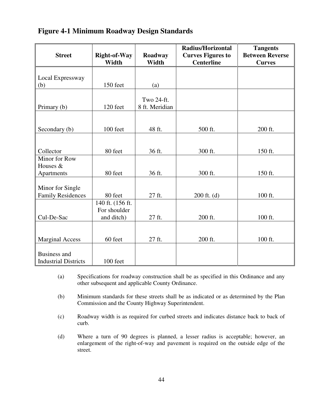## **Figure 4-1 Minimum Roadway Design Standards**

|                                                                         |                              |                  | <b>Radius/Horizontal</b>                      | <b>Tangents</b>                         |
|-------------------------------------------------------------------------|------------------------------|------------------|-----------------------------------------------|-----------------------------------------|
| <b>Street</b>                                                           | <b>Right-of-Way</b><br>Width | Roadway<br>Width | <b>Curves Figures to</b><br><b>Centerline</b> | <b>Between Reverse</b><br><b>Curves</b> |
|                                                                         |                              |                  |                                               |                                         |
| Local Expressway                                                        |                              |                  |                                               |                                         |
| (b)                                                                     | 150 feet                     | (a)              |                                               |                                         |
|                                                                         |                              | Two 24-ft.       |                                               |                                         |
| Primary (b)                                                             | 120 feet                     | 8 ft. Meridian   |                                               |                                         |
|                                                                         |                              |                  |                                               |                                         |
| Secondary (b)                                                           | 100 feet                     | 48 ft.           | 500 ft.                                       | 200 ft.                                 |
|                                                                         |                              |                  |                                               |                                         |
| Collector                                                               | 80 feet                      | 36 ft.           | 300 ft.                                       | 150 ft.                                 |
| Minor for Row                                                           |                              |                  |                                               |                                         |
| Houses &                                                                |                              |                  |                                               |                                         |
| Apartments                                                              | 80 feet                      | 36 ft.           | 300 ft.                                       | 150 ft.                                 |
| Minor for Single                                                        |                              |                  |                                               |                                         |
|                                                                         | 80 feet                      | 27 ft.           |                                               |                                         |
|                                                                         |                              |                  |                                               |                                         |
|                                                                         | For shoulder                 |                  |                                               |                                         |
| Cul-De-Sac                                                              | and ditch)                   | 27 ft.           | 200 ft.                                       | 100 ft.                                 |
|                                                                         |                              |                  |                                               |                                         |
| <b>Marginal Access</b>                                                  | 60 feet                      | 27 ft.           | 200 ft.                                       | 100 ft.                                 |
|                                                                         |                              |                  |                                               |                                         |
|                                                                         |                              |                  |                                               |                                         |
| <b>Family Residences</b><br>Business and<br><b>Industrial Districts</b> | 140 ft. (156 ft.<br>100 feet |                  | $200$ ft. (d)                                 | 100 ft.                                 |

(a) Specifications for roadway construction shall be as specified in this Ordinance and any other subsequent and applicable County Ordinance.

(b) Minimum standards for these streets shall be as indicated or as determined by the Plan Commission and the County Highway Superintendent.

(c) Roadway width is as required for curbed streets and indicates distance back to back of curb.

(d) Where a turn of 90 degrees is planned, a lesser radius is acceptable; however, an enlargement of the right-of-way and pavement is required on the outside edge of the street.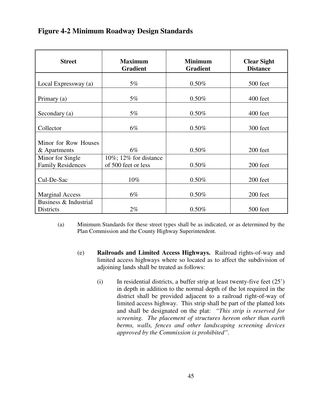## **Figure 4-2 Minimum Roadway Design Standards**

| <b>Street</b>                                | <b>Maximum</b><br><b>Gradient</b>                | <b>Minimum</b><br><b>Gradient</b> | <b>Clear Sight</b><br><b>Distance</b> |
|----------------------------------------------|--------------------------------------------------|-----------------------------------|---------------------------------------|
| Local Expressway (a)                         | $5\%$                                            | 0.50%                             | 500 feet                              |
| Primary (a)                                  | $5\%$                                            | 0.50%                             | 400 feet                              |
| Secondary (a)                                | $5\%$                                            | $0.50\%$                          | 400 feet                              |
| Collector                                    | $6\%$                                            | 0.50%                             | 300 feet                              |
| Minor for Row Houses                         |                                                  |                                   |                                       |
| & Apartments                                 | $6\%$                                            | 0.50%                             | 200 feet                              |
| Minor for Single<br><b>Family Residences</b> | $10\%$ ; 12% for distance<br>of 500 feet or less | 0.50%                             | 200 feet                              |
| Cul-De-Sac                                   | 10%                                              | 0.50%                             | 200 feet                              |
| <b>Marginal Access</b>                       | $6\%$                                            | 0.50%                             | 200 feet                              |
| Business & Industrial<br>Districts           | $2\%$                                            | 0.50%                             | 500 feet                              |

- (a) Minimum Standards for these street types shall be as indicated, or as determined by the Plan Commission and the County Highway Superintendent.
	- (e) **Railroads and Limited Access Highways.** Railroad rights-of-way and limited access highways where so located as to affect the subdivision of adjoining lands shall be treated as follows:
		- (i) In residential districts, a buffer strip at least twenty-five feet  $(25')$ in depth in addition to the normal depth of the lot required in the district shall be provided adjacent to a railroad right-of-way of limited access highway. This strip shall be part of the platted lots and shall be designated on the plat: *"This strip is reserved for screening. The placement of structures hereon other than earth berms, walls, fences and other landscaping screening devices approved by the Commission is prohibited".*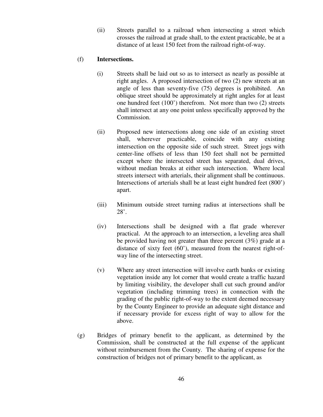(ii) Streets parallel to a railroad when intersecting a street which crosses the railroad at grade shall, to the extent practicable, be at a distance of at least 150 feet from the railroad right-of-way.

#### (f) **Intersections.**

- (i) Streets shall be laid out so as to intersect as nearly as possible at right angles. A proposed intersection of two (2) new streets at an angle of less than seventy-five (75) degrees is prohibited. An oblique street should be approximately at right angles for at least one hundred feet (100') therefrom. Not more than two (2) streets shall intersect at any one point unless specifically approved by the Commission.
- (ii) Proposed new intersections along one side of an existing street shall, wherever practicable, coincide with any existing intersection on the opposite side of such street. Street jogs with center-line offsets of less than 150 feet shall not be permitted except where the intersected street has separated, dual drives, without median breaks at either such intersection. Where local streets intersect with arterials, their alignment shall be continuous. Intersections of arterials shall be at least eight hundred feet (800') apart.
- (iii) Minimum outside street turning radius at intersections shall be 28'.
- (iv) Intersections shall be designed with a flat grade wherever practical. At the approach to an intersection, a leveling area shall be provided having not greater than three percent (3%) grade at a distance of sixty feet (60'), measured from the nearest right-ofway line of the intersecting street.
- (v) Where any street intersection will involve earth banks or existing vegetation inside any lot corner that would create a traffic hazard by limiting visibility, the developer shall cut such ground and/or vegetation (including trimming trees) in connection with the grading of the public right-of-way to the extent deemed necessary by the County Engineer to provide an adequate sight distance and if necessary provide for excess right of way to allow for the above.
- (g) Bridges of primary benefit to the applicant, as determined by the Commission, shall be constructed at the full expense of the applicant without reimbursement from the County. The sharing of expense for the construction of bridges not of primary benefit to the applicant, as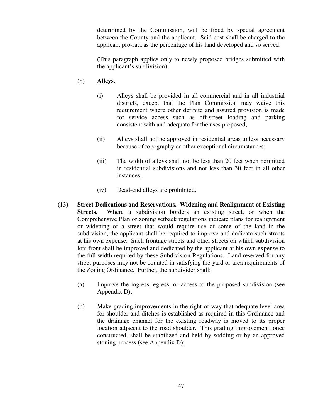determined by the Commission, will be fixed by special agreement between the County and the applicant. Said cost shall be charged to the applicant pro-rata as the percentage of his land developed and so served.

 (This paragraph applies only to newly proposed bridges submitted with the applicant's subdivision).

### (h) **Alleys.**

- (i) Alleys shall be provided in all commercial and in all industrial districts, except that the Plan Commission may waive this requirement where other definite and assured provision is made for service access such as off-street loading and parking consistent with and adequate for the uses proposed;
- (ii) Alleys shall not be approved in residential areas unless necessary because of topography or other exceptional circumstances;
- (iii) The width of alleys shall not be less than 20 feet when permitted in residential subdivisions and not less than 30 feet in all other instances;
- (iv) Dead-end alleys are prohibited.
- (13) **Street Dedications and Reservations. Widening and Realignment of Existing Streets.** Where a subdivision borders an existing street, or when the Comprehensive Plan or zoning setback regulations indicate plans for realignment or widening of a street that would require use of some of the land in the subdivision, the applicant shall be required to improve and dedicate such streets at his own expense. Such frontage streets and other streets on which subdivision lots front shall be improved and dedicated by the applicant at his own expense to the full width required by these Subdivision Regulations. Land reserved for any street purposes may not be counted in satisfying the yard or area requirements of the Zoning Ordinance. Further, the subdivider shall:
	- (a) Improve the ingress, egress, or access to the proposed subdivision (see Appendix D);
	- (b) Make grading improvements in the right-of-way that adequate level area for shoulder and ditches is established as required in this Ordinance and the drainage channel for the existing roadway is moved to its proper location adjacent to the road shoulder. This grading improvement, once constructed, shall be stabilized and held by sodding or by an approved stoning process (see Appendix D);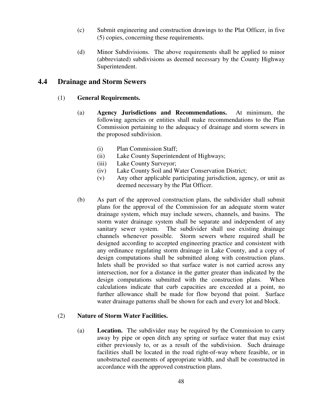- (c) Submit engineering and construction drawings to the Plat Officer, in five (5) copies, concerning these requirements.
- (d) Minor Subdivisions. The above requirements shall be applied to minor (abbreviated) subdivisions as deemed necessary by the County Highway Superintendent.

### **4.4 Drainage and Storm Sewers**

#### (1) **General Requirements.**

- (a) **Agency Jurisdictions and Recommendations.** At minimum, the following agencies or entities shall make recommendations to the Plan Commission pertaining to the adequacy of drainage and storm sewers in the proposed subdivision.
	- (i) Plan Commission Staff;
	- (ii) Lake County Superintendent of Highways;
	- (iii) Lake County Surveyor;
	- (iv) Lake County Soil and Water Conservation District;
	- (v) Any other applicable participating jurisdiction, agency, or unit as deemed necessary by the Plat Officer.
- (b) As part of the approved construction plans, the subdivider shall submit plans for the approval of the Commission for an adequate storm water drainage system, which may include sewers, channels, and basins. The storm water drainage system shall be separate and independent of any sanitary sewer system. The subdivider shall use existing drainage channels whenever possible. Storm sewers where required shall be designed according to accepted engineering practice and consistent with any ordinance regulating storm drainage in Lake County, and a copy of design computations shall be submitted along with construction plans. Inlets shall be provided so that surface water is not carried across any intersection, nor for a distance in the gutter greater than indicated by the design computations submitted with the construction plans. When calculations indicate that curb capacities are exceeded at a point, no further allowance shall be made for flow beyond that point. Surface water drainage patterns shall be shown for each and every lot and block.

#### (2) **Nature of Storm Water Facilities.**

(a) **Location.** The subdivider may be required by the Commission to carry away by pipe or open ditch any spring or surface water that may exist either previously to, or as a result of the subdivision. Such drainage facilities shall be located in the road right-of-way where feasible, or in unobstructed easements of appropriate width, and shall be constructed in accordance with the approved construction plans.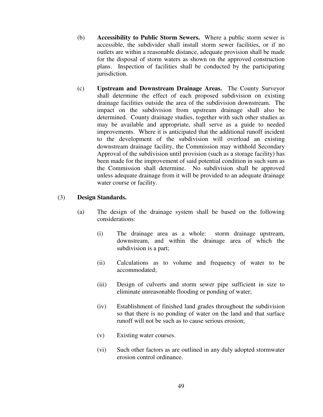- (b) **Accessibility to Public Storm Sewers.** Where a public storm sewer is accessible, the subdivider shall install storm sewer facilities, or if no outlets are within a reasonable distance, adequate provision shall be made for the disposal of storm waters as shown on the approved construction plans. Inspection of facilities shall be conducted by the participating jurisdiction.
- (c) **Upstream and Downstream Drainage Areas.** The County Surveyor shall determine the effect of each proposed subdivision on existing drainage facilities outside the area of the subdivision downstream. The impact on the subdivision from upstream drainage shall also be determined. County drainage studies, together with such other studies as may be available and appropriate, shall serve as a guide to needed improvements. Where it is anticipated that the additional runoff incident to the development of the subdivision will overload an existing downstream drainage facility, the Commission may withhold Secondary Approval of the subdivision until provision (such as a storage facility) has been made for the improvement of said potential condition in such sum as the Commission shall determine. No subdivision shall be approved unless adequate drainage from it will be provided to an adequate drainage water course or facility.

#### (3) **Design Standards.**

- (a) The design of the drainage system shall be based on the following considerations:
	- (i) The drainage area as a whole: storm drainage upstream, downstream, and within the drainage area of which the subdivision is a part;
	- (ii) Calculations as to volume and frequency of water to be accommodated;
	- (iii) Design of culverts and storm sewer pipe sufficient in size to eliminate unreasonable flooding or ponding of water;
	- (iv) Establishment of finished land grades throughout the subdivision so that there is no ponding of water on the land and that surface runoff will not be such as to cause serious erosion;
	- (v) Existing water courses.
	- (vi) Such other factors as are outlined in any duly adopted stormwater erosion control ordinance.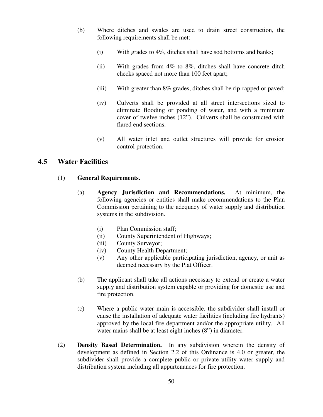- (b) Where ditches and swales are used to drain street construction, the following requirements shall be met:
	- (i) With grades to 4%, ditches shall have sod bottoms and banks;
	- (ii) With grades from 4% to 8%, ditches shall have concrete ditch checks spaced not more than 100 feet apart;
	- (iii) With greater than 8% grades, ditches shall be rip-rapped or paved;
	- (iv) Culverts shall be provided at all street intersections sized to eliminate flooding or ponding of water, and with a minimum cover of twelve inches (12"). Culverts shall be constructed with flared end sections.
	- (v) All water inlet and outlet structures will provide for erosion control protection.

### **4.5 Water Facilities**

#### (1) **General Requirements.**

- (a) **Agency Jurisdiction and Recommendations.** At minimum, the following agencies or entities shall make recommendations to the Plan Commission pertaining to the adequacy of water supply and distribution systems in the subdivision.
	- (i) Plan Commission staff;
	- (ii) County Superintendent of Highways;
	- (iii) County Surveyor;
	- (iv) County Health Department;
	- (v) Any other applicable participating jurisdiction, agency, or unit as deemed necessary by the Plat Officer.
- (b) The applicant shall take all actions necessary to extend or create a water supply and distribution system capable or providing for domestic use and fire protection.
- (c) Where a public water main is accessible, the subdivider shall install or cause the installation of adequate water facilities (including fire hydrants) approved by the local fire department and/or the appropriate utility. All water mains shall be at least eight inches  $(8")$  in diameter.
- (2) **Density Based Determination.** In any subdivision wherein the density of development as defined in Section 2.2 of this Ordinance is 4.0 or greater, the subdivider shall provide a complete public or private utility water supply and distribution system including all appurtenances for fire protection.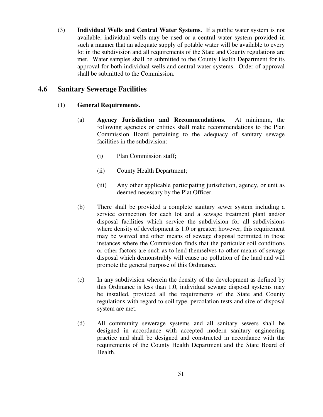(3) **Individual Wells and Central Water Systems.** If a public water system is not available, individual wells may be used or a central water system provided in such a manner that an adequate supply of potable water will be available to every lot in the subdivision and all requirements of the State and County regulations are met. Water samples shall be submitted to the County Health Department for its approval for both individual wells and central water systems. Order of approval shall be submitted to the Commission.

## **4.6 Sanitary Sewerage Facilities**

#### (1) **General Requirements.**

- (a) **Agency Jurisdiction and Recommendations.** At minimum, the following agencies or entities shall make recommendations to the Plan Commission Board pertaining to the adequacy of sanitary sewage facilities in the subdivision:
	- (i) Plan Commission staff;
	- (ii) County Health Department;
	- (iii) Any other applicable participating jurisdiction, agency, or unit as deemed necessary by the Plat Officer.
- (b) There shall be provided a complete sanitary sewer system including a service connection for each lot and a sewage treatment plant and/or disposal facilities which service the subdivision for all subdivisions where density of development is 1.0 or greater; however, this requirement may be waived and other means of sewage disposal permitted in those instances where the Commission finds that the particular soil conditions or other factors are such as to lend themselves to other means of sewage disposal which demonstrably will cause no pollution of the land and will promote the general purpose of this Ordinance.
- (c) In any subdivision wherein the density of the development as defined by this Ordinance is less than 1.0, individual sewage disposal systems may be installed, provided all the requirements of the State and County regulations with regard to soil type, percolation tests and size of disposal system are met.
- (d) All community sewerage systems and all sanitary sewers shall be designed in accordance with accepted modern sanitary engineering practice and shall be designed and constructed in accordance with the requirements of the County Health Department and the State Board of Health.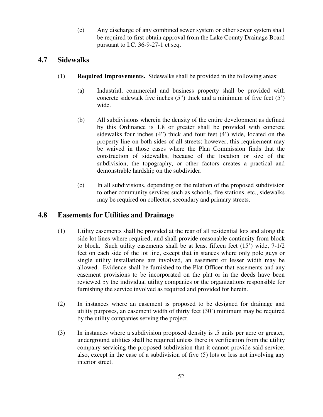(e) Any discharge of any combined sewer system or other sewer system shall be required to first obtain approval from the Lake County Drainage Board pursuant to I.C. 36-9-27-1 et seq.

## **4.7 Sidewalks**

- (1) **Required Improvements.** Sidewalks shall be provided in the following areas:
	- (a) Industrial, commercial and business property shall be provided with concrete sidewalk five inches (5") thick and a minimum of five feet (5') wide.
	- (b) All subdivisions wherein the density of the entire development as defined by this Ordinance is 1.8 or greater shall be provided with concrete sidewalks four inches (4") thick and four feet (4') wide, located on the property line on both sides of all streets; however, this requirement may be waived in those cases where the Plan Commission finds that the construction of sidewalks, because of the location or size of the subdivision, the topography, or other factors creates a practical and demonstrable hardship on the subdivider.
	- (c) In all subdivisions, depending on the relation of the proposed subdivision to other community services such as schools, fire stations, etc., sidewalks may be required on collector, secondary and primary streets.

## **4.8 Easements for Utilities and Drainage**

- (1) Utility easements shall be provided at the rear of all residential lots and along the side lot lines where required, and shall provide reasonable continuity from block to block. Such utility easements shall be at least fifteen feet (15') wide, 7-1/2 feet on each side of the lot line, except that in stances where only pole guys or single utility installations are involved, an easement or lesser width may be allowed. Evidence shall be furnished to the Plat Officer that easements and any easement provisions to be incorporated on the plat or in the deeds have been reviewed by the individual utility companies or the organizations responsible for furnishing the service involved as required and provided for herein.
- (2) In instances where an easement is proposed to be designed for drainage and utility purposes, an easement width of thirty feet (30') minimum may be required by the utility companies serving the project.
- (3) In instances where a subdivision proposed density is .5 units per acre or greater, underground utilities shall be required unless there is verification from the utility company servicing the proposed subdivision that it cannot provide said service; also, except in the case of a subdivision of five (5) lots or less not involving any interior street.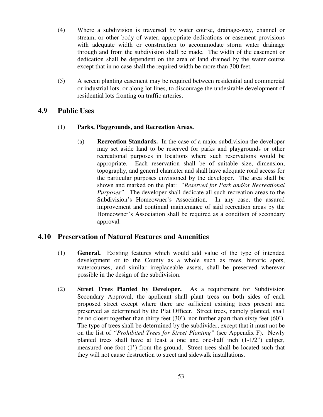- (4) Where a subdivision is traversed by water course, drainage-way, channel or stream, or other body of water, appropriate dedications or easement provisions with adequate width or construction to accommodate storm water drainage through and from the subdivision shall be made. The width of the easement or dedication shall be dependent on the area of land drained by the water course except that in no case shall the required width be more than 300 feet.
- (5) A screen planting easement may be required between residential and commercial or industrial lots, or along lot lines, to discourage the undesirable development of residential lots fronting on traffic arteries.

### **4.9 Public Uses**

#### (1) **Parks, Playgrounds, and Recreation Areas.**

(a) **Recreation Standards.** In the case of a major subdivision the developer may set aside land to be reserved for parks and playgrounds or other recreational purposes in locations where such reservations would be appropriate. Each reservation shall be of suitable size, dimension, topography, and general character and shall have adequate road access for the particular purposes envisioned by the developer. The area shall be shown and marked on the plat: *"Reserved for Park and/or Recreational Purposes"*. The developer shall dedicate all such recreation areas to the Subdivision's Homeowner's Association. In any case, the assured improvement and continual maintenance of said recreation areas by the Homeowner's Association shall be required as a condition of secondary approval.

### **4.10 Preservation of Natural Features and Amenities**

- (1) **General.** Existing features which would add value of the type of intended development or to the County as a whole such as trees, historic spots, watercourses, and similar irreplaceable assets, shall be preserved wherever possible in the design of the subdivision.
- (2) **Street Trees Planted by Developer.** As a requirement for Subdivision Secondary Approval, the applicant shall plant trees on both sides of each proposed street except where there are sufficient existing trees present and preserved as determined by the Plat Officer. Street trees, namely planted, shall be no closer together than thirty feet (30'), nor further apart than sixty feet (60'). The type of trees shall be determined by the subdivider, except that it must not be on the list of *"Prohibited Trees for Street Planting"* (see Appendix F). Newly planted trees shall have at least a one and one-half inch  $(1-1/2)$  caliper, measured one foot (1') from the ground. Street trees shall be located such that they will not cause destruction to street and sidewalk installations.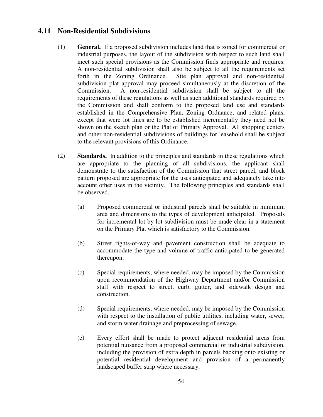### **4.11 Non-Residential Subdivisions**

- (1) **General.** If a proposed subdivision includes land that is zoned for commercial or industrial purposes, the layout of the subdivision with respect to such land shall meet such special provisions as the Commission finds appropriate and requires. A non-residential subdivision shall also be subject to all the requirements set forth in the Zoning Ordinance. Site plan approval and non-residential subdivision plat approval may proceed simultaneously at the discretion of the Commission. A non-residential subdivision shall be subject to all the requirements of these regulations as well as such additional standards required by the Commission and shall conform to the proposed land use and standards established in the Comprehensive Plan, Zoning Ordnance, and related plans, except that were lot lines are to be established incrementally they need not be shown on the sketch plan or the Plat of Primary Approval. All shopping centers and other non-residential subdivisions of buildings for leasehold shall be subject to the relevant provisions of this Ordinance.
- (2) **Standards.** In addition to the principles and standards in these regulations which are appropriate to the planning of all subdivisions, the applicant shall demonstrate to the satisfaction of the Commission that street parcel, and block pattern proposed are appropriate for the uses anticipated and adequately take into account other uses in the vicinity. The following principles and standards shall be observed.
	- (a) Proposed commercial or industrial parcels shall be suitable in minimum area and dimensions to the types of development anticipated. Proposals for incremental lot by lot subdivision must be made clear in a statement on the Primary Plat which is satisfactory to the Commission.
	- (b) Street rights-of-way and pavement construction shall be adequate to accommodate the type and volume of traffic anticipated to be generated thereupon.
	- (c) Special requirements, where needed, may be imposed by the Commission upon recommendation of the Highway Department and/or Commission staff with respect to street, curb, gutter, and sidewalk design and construction.
	- (d) Special requirements, where needed, may be imposed by the Commission with respect to the installation of public utilities, including water, sewer, and storm water drainage and preprocessing of sewage.
	- (e) Every effort shall be made to protect adjacent residential areas from potential nuisance from a proposed commercial or industrial subdivision, including the provision of extra depth in parcels backing onto existing or potential residential development and provision of a permanently landscaped buffer strip where necessary.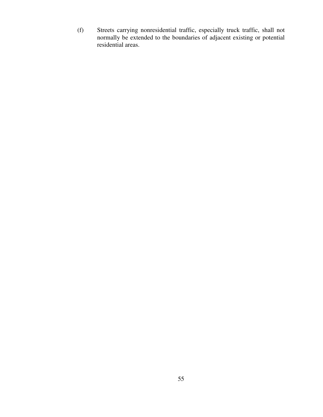(f) Streets carrying nonresidential traffic, especially truck traffic, shall not normally be extended to the boundaries of adjacent existing or potential residential areas.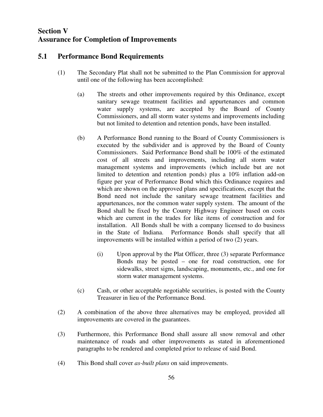## **Section V Assurance for Completion of Improvements**

### **5.1 Performance Bond Requirements**

- (1) The Secondary Plat shall not be submitted to the Plan Commission for approval until one of the following has been accomplished:
	- (a) The streets and other improvements required by this Ordinance, except sanitary sewage treatment facilities and appurtenances and common water supply systems, are accepted by the Board of County Commissioners, and all storm water systems and improvements including but not limited to detention and retention ponds, have been installed.
	- (b) A Performance Bond running to the Board of County Commissioners is executed by the subdivider and is approved by the Board of County Commissioners. Said Performance Bond shall be 100% of the estimated cost of all streets and improvements, including all storm water management systems and improvements (which include but are not limited to detention and retention ponds) plus a 10% inflation add-on figure per year of Performance Bond which this Ordinance requires and which are shown on the approved plans and specifications, except that the Bond need not include the sanitary sewage treatment facilities and appurtenances, nor the common water supply system. The amount of the Bond shall be fixed by the County Highway Engineer based on costs which are current in the trades for like items of construction and for installation. All Bonds shall be with a company licensed to do business in the State of Indiana. Performance Bonds shall specify that all improvements will be installed within a period of two (2) years.
		- (i) Upon approval by the Plat Officer, three (3) separate Performance Bonds may be posted – one for road construction, one for sidewalks, street signs, landscaping, monuments, etc., and one for storm water management systems.
	- (c) Cash, or other acceptable negotiable securities, is posted with the County Treasurer in lieu of the Performance Bond.
- (2) A combination of the above three alternatives may be employed, provided all improvements are covered in the guarantees.
- (3) Furthermore, this Performance Bond shall assure all snow removal and other maintenance of roads and other improvements as stated in aforementioned paragraphs to be rendered and completed prior to release of said Bond.
- (4) This Bond shall cover *as-built plans* on said improvements.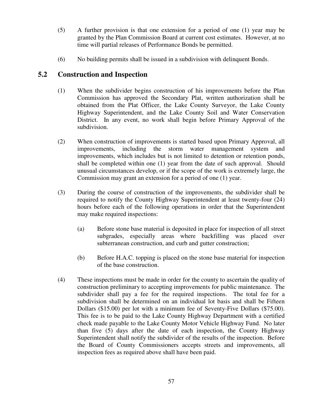- (5) A further provision is that one extension for a period of one (1) year may be granted by the Plan Commission Board at current cost estimates. However, at no time will partial releases of Performance Bonds be permitted.
- (6) No building permits shall be issued in a subdivision with delinquent Bonds.

### **5.2 Construction and Inspection**

- (1) When the subdivider begins construction of his improvements before the Plan Commission has approved the Secondary Plat, written authorization shall be obtained from the Plat Officer, the Lake County Surveyor, the Lake County Highway Superintendent, and the Lake County Soil and Water Conservation District. In any event, no work shall begin before Primary Approval of the subdivision.
- (2) When construction of improvements is started based upon Primary Approval, all improvements, including the storm water management system and improvements, which includes but is not limited to detention or retention ponds, shall be completed within one (1) year from the date of such approval. Should unusual circumstances develop, or if the scope of the work is extremely large, the Commission may grant an extension for a period of one (1) year.
- (3) During the course of construction of the improvements, the subdivider shall be required to notify the County Highway Superintendent at least twenty-four (24) hours before each of the following operations in order that the Superintendent may make required inspections:
	- (a) Before stone base material is deposited in place for inspection of all street subgrades, especially areas where backfilling was placed over subterranean construction, and curb and gutter construction;
	- (b) Before H.A.C. topping is placed on the stone base material for inspection of the base construction.
- (4) These inspections must be made in order for the county to ascertain the quality of construction preliminary to accepting improvements for public maintenance. The subdivider shall pay a fee for the required inspections. The total fee for a subdivision shall be determined on an individual lot basis and shall be Fifteen Dollars (\$15.00) per lot with a minimum fee of Seventy-Five Dollars (\$75.00). This fee is to be paid to the Lake County Highway Department with a certified check made payable to the Lake County Motor Vehicle Highway Fund. No later than five (5) days after the date of each inspection, the County Highway Superintendent shall notify the subdivider of the results of the inspection. Before the Board of County Commissioners accepts streets and improvements, all inspection fees as required above shall have been paid.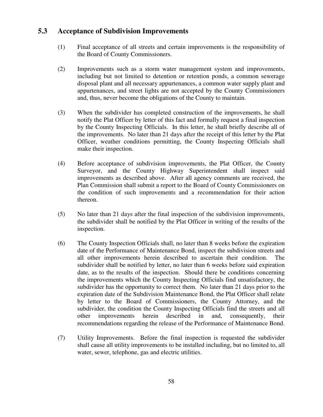### **5.3 Acceptance of Subdivision Improvements**

- (1) Final acceptance of all streets and certain improvements is the responsibility of the Board of County Commissioners.
- (2) Improvements such as a storm water management system and improvements, including but not limited to detention or retention ponds, a common sewerage disposal plant and all necessary appurtenances, a common water supply plant and appurtenances, and street lights are not accepted by the County Commissioners and, thus, never become the obligations of the County to maintain.
- (3) When the subdivider has completed construction of the improvements, he shall notify the Plat Officer by letter of this fact and formally request a final inspection by the County Inspecting Officials. In this letter, he shall briefly describe all of the improvements. No later than 21 days after the receipt of this letter by the Plat Officer, weather conditions permitting, the County Inspecting Officials shall make their inspection.
- (4) Before acceptance of subdivision improvements, the Plat Officer, the County Surveyor, and the County Highway Superintendent shall inspect said improvements as described above. After all agency comments are received, the Plan Commission shall submit a report to the Board of County Commissioners on the condition of such improvements and a recommendation for their action thereon.
- (5) No later than 21 days after the final inspection of the subdivision improvements, the subdivider shall be notified by the Plat Officer in writing of the results of the inspection.
- (6) The County Inspection Officials shall, no later than 8 weeks before the expiration date of the Performance of Maintenance Bond, inspect the subdivision streets and all other improvements herein described to ascertain their condition. The subdivider shall be notified by letter, no later than 6 weeks before said expiration date, as to the results of the inspection. Should there be conditions concerning the improvements which the County Inspecting Officials find unsatisfactory, the subdivider has the opportunity to correct them. No later than 21 days prior to the expiration date of the Subdivision Maintenance Bond, the Plat Officer shall relate by letter to the Board of Commissioners, the County Attorney, and the subdivider, the condition the County Inspecting Officials find the streets and all other improvements herein described in and, consequently, their recommendations regarding the release of the Performance of Maintenance Bond.
- (7) Utility Improvements. Before the final inspection is requested the subdivider shall cause all utility improvements to be installed including, but no limited to, all water, sewer, telephone, gas and electric utilities.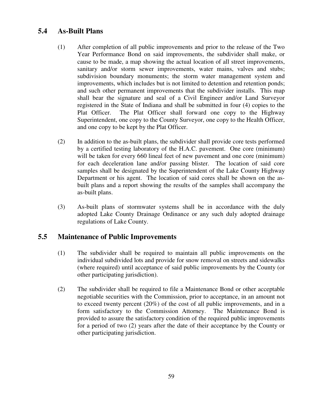## **5.4 As-Built Plans**

- (1) After completion of all public improvements and prior to the release of the Two Year Performance Bond on said improvements, the subdivider shall make, or cause to be made, a map showing the actual location of all street improvements, sanitary and/or storm sewer improvements, water mains, valves and stubs; subdivision boundary monuments; the storm water management system and improvements, which includes but is not limited to detention and retention ponds; and such other permanent improvements that the subdivider installs. This map shall bear the signature and seal of a Civil Engineer and/or Land Surveyor registered in the State of Indiana and shall be submitted in four (4) copies to the Plat Officer. The Plat Officer shall forward one copy to the Highway Superintendent, one copy to the County Surveyor, one copy to the Health Officer, and one copy to be kept by the Plat Officer.
- (2) In addition to the as-built plans, the subdivider shall provide core tests performed by a certified testing laboratory of the H.A.C. pavement. One core (minimum) will be taken for every 660 lineal feet of new pavement and one core (minimum) for each deceleration lane and/or passing blister. The location of said core samples shall be designated by the Superintendent of the Lake County Highway Department or his agent. The location of said cores shall be shown on the asbuilt plans and a report showing the results of the samples shall accompany the as-built plans.
- (3) As-built plans of stormwater systems shall be in accordance with the duly adopted Lake County Drainage Ordinance or any such duly adopted drainage regulations of Lake County.

## **5.5 Maintenance of Public Improvements**

- (1) The subdivider shall be required to maintain all public improvements on the individual subdivided lots and provide for snow removal on streets and sidewalks (where required) until acceptance of said public improvements by the County (or other participating jurisdiction).
- (2) The subdivider shall be required to file a Maintenance Bond or other acceptable negotiable securities with the Commission, prior to acceptance, in an amount not to exceed twenty percent (20%) of the cost of all public improvements, and in a form satisfactory to the Commission Attorney. The Maintenance Bond is provided to assure the satisfactory condition of the required public improvements for a period of two (2) years after the date of their acceptance by the County or other participating jurisdiction.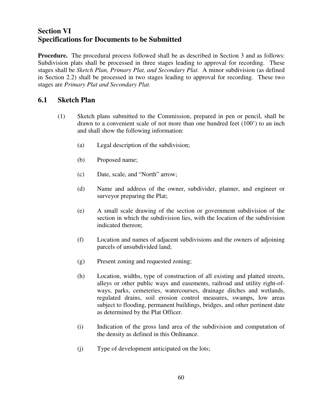## **Section VI Specifications for Documents to be Submitted**

**Procedure.** The procedural process followed shall be as described in Section 3 and as follows: Subdivision plats shall be processed in three stages leading to approval for recording. These stages shall be *Sketch Plan, Primary Plat, and Secondary Plat.* A minor subdivision (as defined in Section 2.2) shall be processed in two stages leading to approval for recording. These two stages are *Primary Plat and Secondary Plat.* 

## **6.1 Sketch Plan**

- (1) Sketch plans submitted to the Commission, prepared in pen or pencil, shall be drawn to a convenient scale of not more than one hundred feet (100') to an inch and shall show the following information:
	- (a) Legal description of the subdivision;
	- (b) Proposed name;
	- (c) Date, scale, and "North" arrow;
	- (d) Name and address of the owner, subdivider, planner, and engineer or surveyor preparing the Plat;
	- (e) A small scale drawing of the section or government subdivision of the section in which the subdivision lies, with the location of the subdivision indicated thereon;
	- (f) Location and names of adjacent subdivisions and the owners of adjoining parcels of unsubdivided land;
	- (g) Present zoning and requested zoning;
	- (h) Location, widths, type of construction of all existing and platted streets, alleys or other public ways and easements, railroad and utility right-ofways, parks, cemeteries, watercourses, drainage ditches and wetlands, regulated drains, soil erosion control measures, swamps, low areas subject to flooding, permanent buildings, bridges, and other pertinent date as determined by the Plat Officer.
	- (i) Indication of the gross land area of the subdivision and computation of the density as defined in this Ordinance.
	- (j) Type of development anticipated on the lots;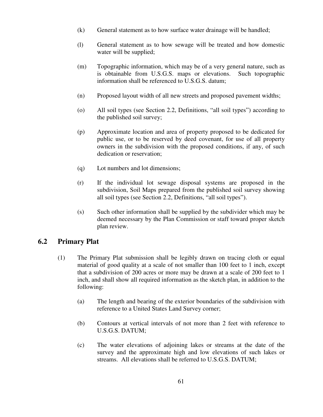- (k) General statement as to how surface water drainage will be handled;
- (l) General statement as to how sewage will be treated and how domestic water will be supplied;
- (m) Topographic information, which may be of a very general nature, such as is obtainable from U.S.G.S. maps or elevations. Such topographic information shall be referenced to U.S.G.S. datum;
- (n) Proposed layout width of all new streets and proposed pavement widths;
- (o) All soil types (see Section 2.2, Definitions, "all soil types") according to the published soil survey;
- (p) Approximate location and area of property proposed to be dedicated for public use, or to be reserved by deed covenant, for use of all property owners in the subdivision with the proposed conditions, if any, of such dedication or reservation;
- (q) Lot numbers and lot dimensions;
- (r) If the individual lot sewage disposal systems are proposed in the subdivision, Soil Maps prepared from the published soil survey showing all soil types (see Section 2.2, Definitions, "all soil types").
- (s) Such other information shall be supplied by the subdivider which may be deemed necessary by the Plan Commission or staff toward proper sketch plan review.

### **6.2 Primary Plat**

- (1) The Primary Plat submission shall be legibly drawn on tracing cloth or equal material of good quality at a scale of not smaller than 100 feet to 1 inch, except that a subdivision of 200 acres or more may be drawn at a scale of 200 feet to 1 inch, and shall show all required information as the sketch plan, in addition to the following:
	- (a) The length and bearing of the exterior boundaries of the subdivision with reference to a United States Land Survey corner;
	- (b) Contours at vertical intervals of not more than 2 feet with reference to U.S.G.S. DATUM;
	- (c) The water elevations of adjoining lakes or streams at the date of the survey and the approximate high and low elevations of such lakes or streams. All elevations shall be referred to U.S.G.S. DATUM;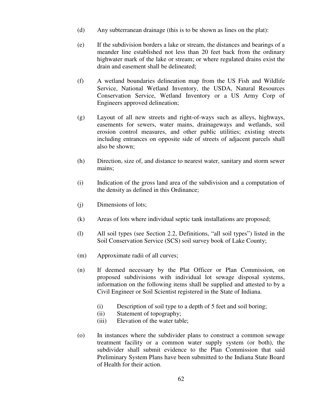- (d) Any subterranean drainage (this is to be shown as lines on the plat):
- (e) If the subdivision borders a lake or stream, the distances and bearings of a meander line established not less than 20 feet back from the ordinary highwater mark of the lake or stream; or where regulated drains exist the drain and easement shall be delineated;
- (f) A wetland boundaries delineation map from the US Fish and Wildlife Service, National Wetland Inventory, the USDA, Natural Resources Conservation Service, Wetland Inventory or a US Army Corp of Engineers approved delineation;
- (g) Layout of all new streets and right-of-ways such as alleys, highways, easements for sewers, water mains, drainageways and wetlands, soil erosion control measures, and other public utilities; existing streets including entrances on opposite side of streets of adjacent parcels shall also be shown;
- (h) Direction, size of, and distance to nearest water, sanitary and storm sewer mains;
- (i) Indication of the gross land area of the subdivision and a computation of the density as defined in this Ordinance;
- (j) Dimensions of lots;
- (k) Areas of lots where individual septic tank installations are proposed;
- (l) All soil types (see Section 2.2, Definitions, "all soil types") listed in the Soil Conservation Service (SCS) soil survey book of Lake County;
- (m) Approximate radii of all curves;
- (n) If deemed necessary by the Plat Officer or Plan Commission, on proposed subdivisions with individual lot sewage disposal systems, information on the following items shall be supplied and attested to by a Civil Engineer or Soil Scientist registered in the State of Indiana.
	- (i) Description of soil type to a depth of 5 feet and soil boring;
	- (ii) Statement of topography;
	- (iii) Elevation of the water table;
- (o) In instances where the subdivider plans to construct a common sewage treatment facility or a common water supply system (or both), the subdivider shall submit evidence to the Plan Commission that said Preliminary System Plans have been submitted to the Indiana State Board of Health for their action.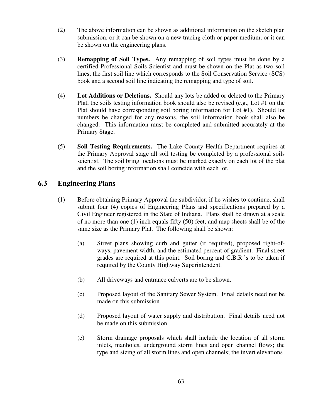- (2) The above information can be shown as additional information on the sketch plan submission, or it can be shown on a new tracing cloth or paper medium, or it can be shown on the engineering plans.
- (3) **Remapping of Soil Types.** Any remapping of soil types must be done by a certified Professional Soils Scientist and must be shown on the Plat as two soil lines; the first soil line which corresponds to the Soil Conservation Service (SCS) book and a second soil line indicating the remapping and type of soil.
- (4) **Lot Additions or Deletions.** Should any lots be added or deleted to the Primary Plat, the soils testing information book should also be revised (e.g., Lot #1 on the Plat should have corresponding soil boring information for Lot #1). Should lot numbers be changed for any reasons, the soil information book shall also be changed. This information must be completed and submitted accurately at the Primary Stage.
- (5) **Soil Testing Requirements.** The Lake County Health Department requires at the Primary Approval stage all soil testing be completed by a professional soils scientist. The soil bring locations must be marked exactly on each lot of the plat and the soil boring information shall coincide with each lot.

## **6.3 Engineering Plans**

- (1) Before obtaining Primary Approval the subdivider, if he wishes to continue, shall submit four (4) copies of Engineering Plans and specifications prepared by a Civil Engineer registered in the State of Indiana. Plans shall be drawn at a scale of no more than one  $(1)$  inch equals fifty  $(50)$  feet, and map sheets shall be of the same size as the Primary Plat. The following shall be shown:
	- (a) Street plans showing curb and gutter (if required), proposed right-ofways, pavement width, and the estimated percent of gradient. Final street grades are required at this point. Soil boring and C.B.R.'s to be taken if required by the County Highway Superintendent.
	- (b) All driveways and entrance culverts are to be shown.
	- (c) Proposed layout of the Sanitary Sewer System. Final details need not be made on this submission.
	- (d) Proposed layout of water supply and distribution. Final details need not be made on this submission.
	- (e) Storm drainage proposals which shall include the location of all storm inlets, manholes, underground storm lines and open channel flows; the type and sizing of all storm lines and open channels; the invert elevations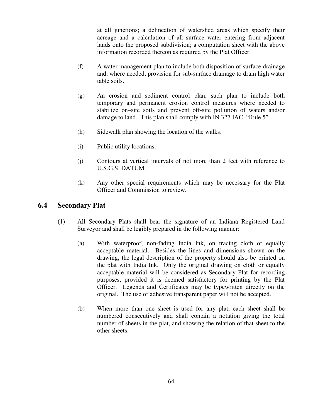at all junctions; a delineation of watershed areas which specify their acreage and a calculation of all surface water entering from adjacent lands onto the proposed subdivision; a computation sheet with the above information recorded thereon as required by the Plat Officer.

- (f) A water management plan to include both disposition of surface drainage and, where needed, provision for sub-surface drainage to drain high water table soils.
- (g) An erosion and sediment control plan, such plan to include both temporary and permanent erosion control measures where needed to stabilize on–site soils and prevent off-site pollution of waters and/or damage to land. This plan shall comply with IN 327 IAC, "Rule 5".
- (h) Sidewalk plan showing the location of the walks.
- (i) Public utility locations.
- (j) Contours at vertical intervals of not more than 2 feet with reference to U.S.G.S. DATUM.
- (k) Any other special requirements which may be necessary for the Plat Officer and Commission to review.

### **6.4 Secondary Plat**

- (1) All Secondary Plats shall bear the signature of an Indiana Registered Land Surveyor and shall be legibly prepared in the following manner:
	- (a) With waterproof, non-fading India Ink, on tracing cloth or equally acceptable material. Besides the lines and dimensions shown on the drawing, the legal description of the property should also be printed on the plat with India Ink. Only the original drawing on cloth or equally acceptable material will be considered as Secondary Plat for recording purposes, provided it is deemed satisfactory for printing by the Plat Officer. Legends and Certificates may be typewritten directly on the original. The use of adhesive transparent paper will not be accepted.
	- (b) When more than one sheet is used for any plat, each sheet shall be numbered consecutively and shall contain a notation giving the total number of sheets in the plat, and showing the relation of that sheet to the other sheets.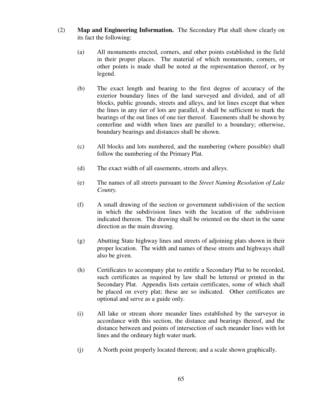- (2) **Map and Engineering Information.** The Secondary Plat shall show clearly on its fact the following:
	- (a) All monuments erected, corners, and other points established in the field in their proper places. The material of which monuments, corners, or other points is made shall be noted at the representation thereof, or by legend.
	- (b) The exact length and bearing to the first degree of accuracy of the exterior boundary lines of the land surveyed and divided, and of all blocks, public grounds, streets and alleys, and lot lines except that when the lines in any tier of lots are parallel, it shall be sufficient to mark the bearings of the out lines of one tier thereof. Easements shall be shown by centerline and width when lines are parallel to a boundary; otherwise, boundary bearings and distances shall be shown.
	- (c) All blocks and lots numbered, and the numbering (where possible) shall follow the numbering of the Primary Plat.
	- (d) The exact width of all easements, streets and alleys.
	- (e) The names of all streets pursuant to the *Street Naming Resolution of Lake County.*
	- (f) A small drawing of the section or government subdivision of the section in which the subdivision lines with the location of the subdivision indicated thereon. The drawing shall be oriented on the sheet in the same direction as the main drawing.
	- (g) Abutting State highway lines and streets of adjoining plats shown in their proper location. The width and names of these streets and highways shall also be given.
	- (h) Certificates to accompany plat to entitle a Secondary Plat to be recorded, such certificates as required by law shall be lettered or printed in the Secondary Plat. Appendix lists certain certificates, some of which shall be placed on every plat; these are so indicated. Other certificates are optional and serve as a guide only.
	- (i) All lake or stream shore meander lines established by the surveyor in accordance with this section, the distance and bearings thereof, and the distance between and points of intersection of such meander lines with lot lines and the ordinary high water mark.
	- (j) A North point properly located thereon; and a scale shown graphically.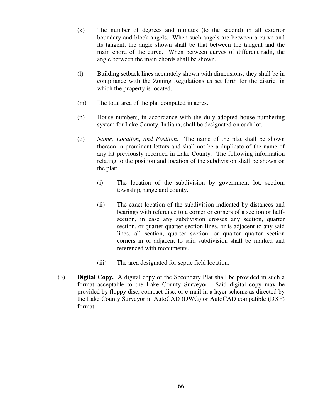- (k) The number of degrees and minutes (to the second) in all exterior boundary and block angels. When such angels are between a curve and its tangent, the angle shown shall be that between the tangent and the main chord of the curve. When between curves of different radii, the angle between the main chords shall be shown.
- (l) Building setback lines accurately shown with dimensions; they shall be in compliance with the Zoning Regulations as set forth for the district in which the property is located.
- (m) The total area of the plat computed in acres.
- (n) House numbers, in accordance with the duly adopted house numbering system for Lake County, Indiana, shall be designated on each lot.
- (o) *Name, Location, and Position.* The name of the plat shall be shown thereon in prominent letters and shall not be a duplicate of the name of any lat previously recorded in Lake County. The following information relating to the position and location of the subdivision shall be shown on the plat:
	- (i) The location of the subdivision by government lot, section, township, range and county.
	- (ii) The exact location of the subdivision indicated by distances and bearings with reference to a corner or corners of a section or halfsection, in case any subdivision crosses any section, quarter section, or quarter quarter section lines, or is adjacent to any said lines, all section, quarter section, or quarter quarter section corners in or adjacent to said subdivision shall be marked and referenced with monuments.
	- (iii) The area designated for septic field location.
- (3) **Digital Copy.** A digital copy of the Secondary Plat shall be provided in such a format acceptable to the Lake County Surveyor. Said digital copy may be provided by floppy disc, compact disc, or e-mail in a layer scheme as directed by the Lake County Surveyor in AutoCAD (DWG) or AutoCAD compatible (DXF) format.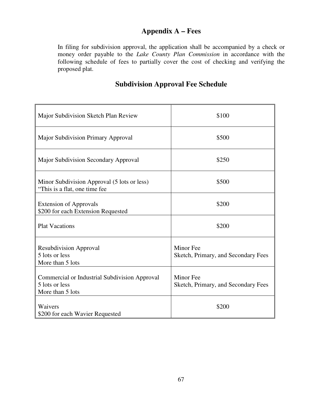# **Appendix A – Fees**

In filing for subdivision approval, the application shall be accompanied by a check or money order payable to the *Lake County Plan Commission* in accordance with the following schedule of fees to partially cover the cost of checking and verifying the proposed plat.

## **Subdivision Approval Fee Schedule**

| Major Subdivision Sketch Plan Review                                                | \$100                                            |  |
|-------------------------------------------------------------------------------------|--------------------------------------------------|--|
| <b>Major Subdivision Primary Approval</b>                                           | \$500                                            |  |
| Major Subdivision Secondary Approval                                                | \$250                                            |  |
| Minor Subdivision Approval (5 lots or less)<br>"This is a flat, one time fee        | \$500                                            |  |
| <b>Extension of Approvals</b><br>\$200 for each Extension Requested                 | \$200                                            |  |
| <b>Plat Vacations</b>                                                               | \$200                                            |  |
| <b>Resubdivision Approval</b><br>5 lots or less<br>More than 5 lots                 | Minor Fee<br>Sketch, Primary, and Secondary Fees |  |
| Commercial or Industrial Subdivision Approval<br>5 lots or less<br>More than 5 lots | Minor Fee<br>Sketch, Primary, and Secondary Fees |  |
| Waivers<br>\$200 for each Wavier Requested                                          | \$200                                            |  |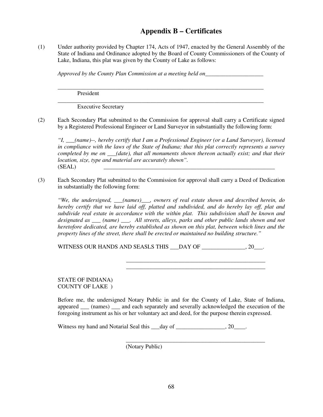## **Appendix B – Certificates**

(1) Under authority provided by Chapter 174, Acts of 1947, enacted by the General Assembly of the State of Indiana and Ordinance adopted by the Board of County Commissioners of the County of Lake, Indiana, this plat was given by the County of Lake as follows:

*Approved by the County Plan Commission at a meeting held on*\_\_\_\_\_\_\_\_\_\_\_\_\_\_\_\_\_\_\_\_

\_\_\_\_\_\_\_\_\_\_\_\_\_\_\_\_\_\_\_\_\_\_\_\_\_\_\_\_\_\_\_\_\_\_\_\_\_\_\_\_\_\_\_\_\_\_\_\_\_\_\_\_\_\_\_\_\_\_\_\_\_\_\_\_\_\_\_\_\_\_\_

\_\_\_\_\_\_\_\_\_\_\_\_\_\_\_\_\_\_\_\_\_\_\_\_\_\_\_\_\_\_\_\_\_\_\_\_\_\_\_\_\_\_\_\_\_\_\_\_\_\_\_\_\_\_\_\_\_\_\_\_\_\_\_\_\_\_\_\_\_\_\_

President

Executive Secretary

(2) Each Secondary Plat submitted to the Commission for approval shall carry a Certificate signed by a Registered Professional Engineer or Land Surveyor in substantially the following form:

*"I, \_\_\_(name)--, hereby certify that I am a Professional Engineer (or a Land Surveyor), licensed in compliance with the laws of the State of Indiana; that this plat correctly represents a survey completed by me on \_\_\_(date), that all monuments shown thereon actually exist; and that their location, size, type and material are accurately shown".* (SEAL) \_\_\_\_\_\_\_\_\_\_\_\_\_\_\_\_\_\_\_\_\_\_\_\_\_\_\_\_\_\_\_\_\_\_\_\_\_\_\_\_\_\_\_\_\_\_\_\_\_\_\_\_\_\_\_\_\_\_\_

(3) Each Secondary Plat submitted to the Commission for approval shall carry a Deed of Dedication in substantially the following form:

*"We, the undersigned, \_\_\_(names)\_\_\_, owners of real estate shown and described herein, do hereby certify that we have laid off, platted and subdivided, and do hereby lay off, plat and subdivide real estate in accordance with the within plat. This subdivision shall be known and designated as \_\_\_ (name) \_\_\_. All streets, alleys, parks and other public lands shown and not heretofore dedicated, are hereby established as shown on this plat, between which lines and the property lines of the street, there shall be erected or maintained no building structure."* 

 $\overline{\phantom{a}}$  ,  $\overline{\phantom{a}}$  ,  $\overline{\phantom{a}}$  ,  $\overline{\phantom{a}}$  ,  $\overline{\phantom{a}}$  ,  $\overline{\phantom{a}}$  ,  $\overline{\phantom{a}}$  ,  $\overline{\phantom{a}}$  ,  $\overline{\phantom{a}}$  ,  $\overline{\phantom{a}}$  ,  $\overline{\phantom{a}}$  ,  $\overline{\phantom{a}}$  ,  $\overline{\phantom{a}}$  ,  $\overline{\phantom{a}}$  ,  $\overline{\phantom{a}}$  ,  $\overline{\phantom{a}}$  $\overline{\phantom{a}}$  ,  $\overline{\phantom{a}}$  ,  $\overline{\phantom{a}}$  ,  $\overline{\phantom{a}}$  ,  $\overline{\phantom{a}}$  ,  $\overline{\phantom{a}}$  ,  $\overline{\phantom{a}}$  ,  $\overline{\phantom{a}}$  ,  $\overline{\phantom{a}}$  ,  $\overline{\phantom{a}}$  ,  $\overline{\phantom{a}}$  ,  $\overline{\phantom{a}}$  ,  $\overline{\phantom{a}}$  ,  $\overline{\phantom{a}}$  ,  $\overline{\phantom{a}}$  ,  $\overline{\phantom{a}}$ 

WITNESS OUR HANDS AND SEASLS THIS DAY OF  $\qquad \qquad .20$ 

STATE OF INDIANA) COUNTY OF LAKE )

Before me, the undersigned Notary Public in and for the County of Lake, State of Indiana, appeared \_\_\_ (names) \_\_\_ and each separately and severally acknowledged the execution of the foregoing instrument as his or her voluntary act and deed, for the purpose therein expressed.

Witness my hand and Notarial Seal this  $\rule{1em}{0.15mm} \log 20$ .

 $\overline{\phantom{a}}$  ,  $\overline{\phantom{a}}$  ,  $\overline{\phantom{a}}$  ,  $\overline{\phantom{a}}$  ,  $\overline{\phantom{a}}$  ,  $\overline{\phantom{a}}$  ,  $\overline{\phantom{a}}$  ,  $\overline{\phantom{a}}$  ,  $\overline{\phantom{a}}$  ,  $\overline{\phantom{a}}$  ,  $\overline{\phantom{a}}$  ,  $\overline{\phantom{a}}$  ,  $\overline{\phantom{a}}$  ,  $\overline{\phantom{a}}$  ,  $\overline{\phantom{a}}$  ,  $\overline{\phantom{a}}$ (Notary Public)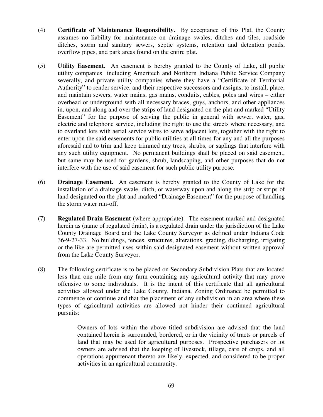- (4) **Certificate of Maintenance Responsibility.** By acceptance of this Plat, the County assumes no liability for maintenance on drainage swales, ditches and tiles, roadside ditches, storm and sanitary sewers, septic systems, retention and detention ponds, overflow pipes, and park areas found on the entire plat.
- (5) **Utility Easement.** An easement is hereby granted to the County of Lake, all public utility companies including Ameritech and Northern Indiana Public Service Company severally, and private utility companies where they have a "Certificate of Territorial Authority" to render service, and their respective successors and assigns, to install, place, and maintain sewers, water mains, gas mains, conduits, cables, poles and wires – either overhead or underground with all necessary braces, guys, anchors, and other appliances in, upon, and along and over the strips of land designated on the plat and marked "Utility Easement" for the purpose of serving the public in general with sewer, water, gas, electric and telephone service, including the right to use the streets where necessary, and to overland lots with aerial service wires to serve adjacent lots, together with the right to enter upon the said easements for public utilities at all times for any and all the purposes aforesaid and to trim and keep trimmed any trees, shrubs, or saplings that interfere with any such utility equipment. No permanent buildings shall be placed on said easement, but same may be used for gardens, shrub, landscaping, and other purposes that do not interfere with the use of said easement for such public utility purpose.
- (6) **Drainage Easement.** An easement is hereby granted to the County of Lake for the installation of a drainage swale, ditch, or waterway upon and along the strip or strips of land designated on the plat and marked "Drainage Easement" for the purpose of handling the storm water run-off.
- (7) **Regulated Drain Easement** (where appropriate). The easement marked and designated herein as (name of regulated drain), is a regulated drain under the jurisdiction of the Lake County Drainage Board and the Lake County Surveyor as defined under Indiana Code 36-9-27-33. No buildings, fences, structures, alterations, grading, discharging, irrigating or the like are permitted uses within said designated easement without written approval from the Lake County Surveyor.
- (8) The following certificate is to be placed on Secondary Subdivision Plats that are located less than one mile from any farm containing any agricultural activity that may prove offensive to some individuals. It is the intent of this certificate that all agricultural activities allowed under the Lake County, Indiana, Zoning Ordinance be permitted to commence or continue and that the placement of any subdivision in an area where these types of agricultural activities are allowed not hinder their continued agricultural pursuits:

 Owners of lots within the above titled subdivision are advised that the land contained herein is surrounded, bordered, or in the vicinity of tracts or parcels of land that may be used for agricultural purposes. Prospective purchasers or lot owners are advised that the keeping of livestock, tillage, care of crops, and all operations appurtenant thereto are likely, expected, and considered to be proper activities in an agricultural community.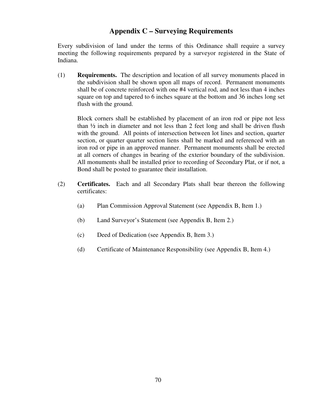#### **Appendix C – Surveying Requirements**

Every subdivision of land under the terms of this Ordinance shall require a survey meeting the following requirements prepared by a surveyor registered in the State of Indiana.

(1) **Requirements.** The description and location of all survey monuments placed in the subdivision shall be shown upon all maps of record. Permanent monuments shall be of concrete reinforced with one #4 vertical rod, and not less than 4 inches square on top and tapered to 6 inches square at the bottom and 36 inches long set flush with the ground.

 Block corners shall be established by placement of an iron rod or pipe not less than ½ inch in diameter and not less than 2 feet long and shall be driven flush with the ground. All points of intersection between lot lines and section, quarter section, or quarter quarter section liens shall be marked and referenced with an iron rod or pipe in an approved manner. Permanent monuments shall be erected at all corners of changes in bearing of the exterior boundary of the subdivision. All monuments shall be installed prior to recording of Secondary Plat, or if not, a Bond shall be posted to guarantee their installation.

- (2) **Certificates.** Each and all Secondary Plats shall bear thereon the following certificates:
	- (a) Plan Commission Approval Statement (see Appendix B, Item 1.)
	- (b) Land Surveyor's Statement (see Appendix B, Item 2.)
	- (c) Deed of Dedication (see Appendix B, Item 3.)
	- (d) Certificate of Maintenance Responsibility (see Appendix B, Item 4.)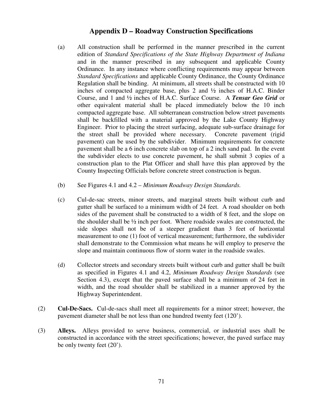#### **Appendix D – Roadway Construction Specifications**

- (a) All construction shall be performed in the manner prescribed in the current edition of *Standard Specifications of the State Highway Department of Indiana* and in the manner prescribed in any subsequent and applicable County Ordinance. In any instance where conflicting requirements may appear between *Standard Specifications* and applicable County Ordinance, the County Ordinance Regulation shall be binding. At minimum, all streets shall be constructed with 10 inches of compacted aggregate base, plus 2 and  $\frac{1}{2}$  inches of H.A.C. Binder Course, and 1 and ½ inches of H.A.C. Surface Course. A *Tensar Geo Grid* or other equivalent material shall be placed immediately below the 10 inch compacted aggregate base. All subterranean construction below street pavements shall be backfilled with a material approved by the Lake County Highway Engineer. Prior to placing the street surfacing, adequate sub-surface drainage for the street shall be provided where necessary. Concrete pavement (rigid pavement) can be used by the subdivider. Minimum requirements for concrete pavement shall be a 6 inch concrete slab on top of a 2 inch sand pad. In the event the subdivider elects to use concrete pavement, he shall submit 3 copies of a construction plan to the Plat Officer and shall have this plan approved by the County Inspecting Officials before concrete street construction is begun.
- (b) See Figures 4.1 and 4.2 *Minimum Roadway Design Standards.*
- (c) Cul-de-sac streets, minor streets, and marginal streets built without curb and gutter shall be surfaced to a minimum width of 24 feet. A road shoulder on both sides of the pavement shall be constructed to a width of 8 feet, and the slope on the shoulder shall be ½ inch per foot. Where roadside swales are constructed, the side slopes shall not be of a steeper gradient than 3 feet of horizontal measurement to one (1) foot of vertical measurement; furthermore, the subdivider shall demonstrate to the Commission what means he will employ to preserve the slope and maintain continuous flow of storm water in the roadside swales.
- (d) Collector streets and secondary streets built without curb and gutter shall be built as specified in Figures 4.1 and 4.2, *Minimum Roadway Design Standards* (see Section 4.3), except that the paved surface shall be a minimum of 24 feet in width, and the road shoulder shall be stabilized in a manner approved by the Highway Superintendent.
- (2) **Cul-De-Sacs.** Cul-de-sacs shall meet all requirements for a minor street; however, the pavement diameter shall be not less than one hundred twenty feet (120').
- (3) **Alleys.** Alleys provided to serve business, commercial, or industrial uses shall be constructed in accordance with the street specifications; however, the paved surface may be only twenty feet (20').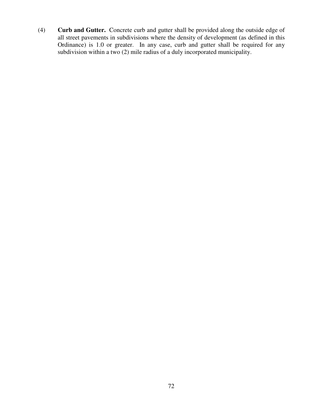(4) **Curb and Gutter.** Concrete curb and gutter shall be provided along the outside edge of all street pavements in subdivisions where the density of development (as defined in this Ordinance) is 1.0 or greater. In any case, curb and gutter shall be required for any subdivision within a two (2) mile radius of a duly incorporated municipality.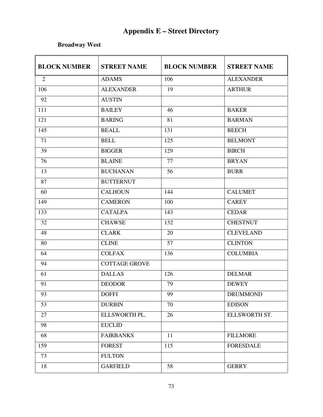## **Appendix E – Street Directory**

### **Broadway West**

| <b>BLOCK NUMBER</b> | <b>STREET NAME</b>   | <b>BLOCK NUMBER</b> | <b>STREET NAME</b> |
|---------------------|----------------------|---------------------|--------------------|
| 2                   | <b>ADAMS</b>         | 106                 | <b>ALEXANDER</b>   |
| 106                 | <b>ALEXANDER</b>     | 19                  | <b>ARTHUR</b>      |
| 92                  | <b>AUSTIN</b>        |                     |                    |
| 111                 | <b>BAILEY</b>        | 46                  | <b>BAKER</b>       |
| 121                 | <b>BARING</b>        | 81                  | <b>BARMAN</b>      |
| 145                 | <b>BEALL</b>         | 131                 | <b>BEECH</b>       |
| 71                  | <b>BELL</b>          | 125                 | <b>BELMONT</b>     |
| 39                  | <b>BIGGER</b>        | 129                 | <b>BIRCH</b>       |
| 76                  | <b>BLAINE</b>        | 77                  | <b>BRYAN</b>       |
| 13                  | <b>BUCHANAN</b>      | 56                  | <b>BURR</b>        |
| 87                  | <b>BUTTERNUT</b>     |                     |                    |
| 60                  | <b>CALHOUN</b>       | 144                 | <b>CALUMET</b>     |
| 149                 | <b>CAMERON</b>       | 100                 | <b>CAREY</b>       |
| 133                 | <b>CATALPA</b>       | 143                 | <b>CEDAR</b>       |
| 32                  | <b>CHAWSE</b>        | 132                 | <b>CHESTNUT</b>    |
| 48                  | <b>CLARK</b>         | 20                  | <b>CLEVELAND</b>   |
| 80                  | <b>CLINE</b>         | 57                  | <b>CLINTON</b>     |
| 64                  | <b>COLFAX</b>        | 136                 | <b>COLUMBIA</b>    |
| 94                  | <b>COTTAGE GROVE</b> |                     |                    |
| 61                  | <b>DALLAS</b>        | 126                 | <b>DELMAR</b>      |
| 91                  | <b>DEODOR</b>        | 79                  | <b>DEWEY</b>       |
| 93                  | <b>DOFFI</b>         | 99                  | <b>DRUMMOND</b>    |
| 53                  | <b>DURBIN</b>        | 70                  | <b>EDISON</b>      |
| 27                  | ELLSWORTH PL.        | 26                  | ELLSWORTH ST.      |
| 98                  | <b>EUCLID</b>        |                     |                    |
| 68                  | <b>FAIRBANKS</b>     | 11                  | <b>FILLMORE</b>    |
| 159                 | <b>FOREST</b>        | 115                 | <b>FORESDALE</b>   |
| 73                  | <b>FULTON</b>        |                     |                    |
| 18                  | <b>GARFIELD</b>      | 58                  | <b>GERRY</b>       |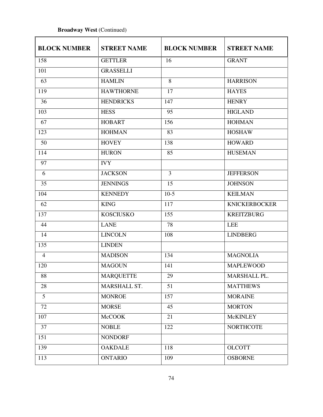#### **Broadway West** (Continued)

| <b>BLOCK NUMBER</b> | <b>STREET NAME</b> | <b>BLOCK NUMBER</b> | <b>STREET NAME</b>   |
|---------------------|--------------------|---------------------|----------------------|
| 158                 | <b>GETTLER</b>     | 16                  | <b>GRANT</b>         |
| 101                 | <b>GRASSELLI</b>   |                     |                      |
| 63                  | <b>HAMLIN</b>      | 8                   | <b>HARRISON</b>      |
| 119                 | <b>HAWTHORNE</b>   | 17                  | <b>HAYES</b>         |
| 36                  | <b>HENDRICKS</b>   | 147                 | <b>HENRY</b>         |
| 103                 | <b>HESS</b>        | 95                  | <b>HIGLAND</b>       |
| 67                  | <b>HOBART</b>      | 156                 | <b>HOHMAN</b>        |
| 123                 | <b>HOHMAN</b>      | 83                  | <b>HOSHAW</b>        |
| 50                  | <b>HOVEY</b>       | 138                 | <b>HOWARD</b>        |
| 114                 | <b>HURON</b>       | 85                  | <b>HUSEMAN</b>       |
| 97                  | <b>IVY</b>         |                     |                      |
| 6                   | <b>JACKSON</b>     | $\overline{3}$      | <b>JEFFERSON</b>     |
| 35                  | <b>JENNINGS</b>    | 15                  | <b>JOHNSON</b>       |
| 104                 | <b>KENNEDY</b>     | $10-5$              | <b>KEILMAN</b>       |
| 62                  | <b>KING</b>        | 117                 | <b>KNICKERBOCKER</b> |
| 137                 | <b>KOSCIUSKO</b>   | 155                 | <b>KREITZBURG</b>    |
| 44                  | <b>LANE</b>        | 78                  | <b>LEE</b>           |
| 14                  | <b>LINCOLN</b>     | 108                 | <b>LINDBERG</b>      |
| 135                 | <b>LINDEN</b>      |                     |                      |
| $\overline{4}$      | <b>MADISON</b>     | 134                 | <b>MAGNOLIA</b>      |
| 120                 | <b>MAGOUN</b>      | 141                 | <b>MAPLEWOOD</b>     |
| 88                  | <b>MARQUETTE</b>   | 29                  | MARSHALL PL.         |
| 28                  | MARSHALL ST.       | 51                  | <b>MATTHEWS</b>      |
| $\overline{5}$      | <b>MONROE</b>      | 157                 | <b>MORAINE</b>       |
| 72                  | <b>MORSE</b>       | 45                  | <b>MORTON</b>        |
| 107                 | <b>McCOOK</b>      | 21                  | <b>McKINLEY</b>      |
| $\overline{37}$     | <b>NOBLE</b>       | 122                 | <b>NORTHCOTE</b>     |
| 151                 | <b>NONDORF</b>     |                     |                      |
| 139                 | <b>OAKDALE</b>     | 118                 | <b>OLCOTT</b>        |
| 113                 | <b>ONTARIO</b>     | 109                 | <b>OSBORNE</b>       |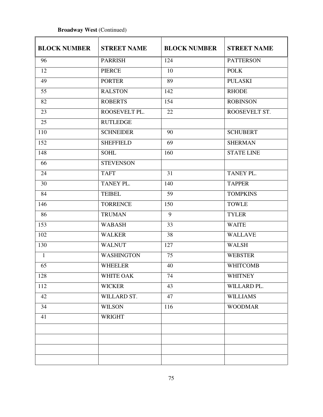#### **Broadway West** (Continued)

| <b>BLOCK NUMBER</b> | <b>STREET NAME</b> | <b>BLOCK NUMBER</b> | <b>STREET NAME</b> |
|---------------------|--------------------|---------------------|--------------------|
| 96                  | <b>PARRISH</b>     | 124                 | <b>PATTERSON</b>   |
| 12                  | <b>PIERCE</b>      | 10                  | <b>POLK</b>        |
| 49                  | <b>PORTER</b>      | 89                  | <b>PULASKI</b>     |
| 55                  | <b>RALSTON</b>     | 142                 | <b>RHODE</b>       |
| 82                  | <b>ROBERTS</b>     | 154                 | <b>ROBINSON</b>    |
| 23                  | ROOSEVELT PL.      | 22                  | ROOSEVELT ST.      |
| 25                  | <b>RUTLEDGE</b>    |                     |                    |
| 110                 | <b>SCHNEIDER</b>   | 90                  | <b>SCHUBERT</b>    |
| 152                 | <b>SHEFFIELD</b>   | 69                  | <b>SHERMAN</b>     |
| 148                 | <b>SOHL</b>        | 160                 | <b>STATE LINE</b>  |
| 66                  | <b>STEVENSON</b>   |                     |                    |
| 24                  | <b>TAFT</b>        | 31                  | TANEY PL.          |
| 30                  | TANEY PL.          | 140                 | <b>TAPPER</b>      |
| 84                  | <b>TEIBEL</b>      | 59                  | <b>TOMPKINS</b>    |
| 146                 | <b>TORRENCE</b>    | 150                 | <b>TOWLE</b>       |
| 86                  | <b>TRUMAN</b>      | 9                   | <b>TYLER</b>       |
| 153                 | <b>WABASH</b>      | 33                  | <b>WAITE</b>       |
| 102                 | <b>WALKER</b>      | 38                  | <b>WALLAVE</b>     |
| 130                 | <b>WALNUT</b>      | 127                 | <b>WALSH</b>       |
| $\mathbf{1}$        | <b>WASHINGTON</b>  | 75                  | <b>WEBSTER</b>     |
| 65                  | <b>WHEELER</b>     | 40                  | <b>WHITCOMB</b>    |
| 128                 | WHITE OAK          | 74                  | <b>WHITNEY</b>     |
| 112                 | <b>WICKER</b>      | 43                  | WILLARD PL.        |
| 42                  | WILLARD ST.        | 47                  | <b>WILLIAMS</b>    |
| 34                  | <b>WILSON</b>      | 116                 | <b>WOODMAR</b>     |
| 41                  | <b>WRIGHT</b>      |                     |                    |
|                     |                    |                     |                    |
|                     |                    |                     |                    |
|                     |                    |                     |                    |
|                     |                    |                     |                    |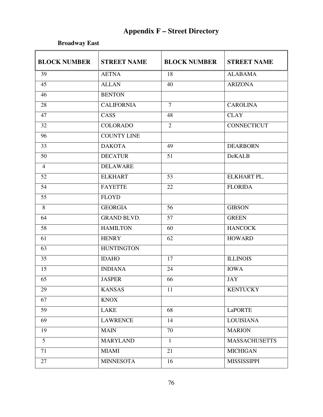## **Appendix F – Street Directory**

**Broadway East** 

| <b>BLOCK NUMBER</b> | <b>STREET NAME</b> | <b>BLOCK NUMBER</b> | <b>STREET NAME</b>   |
|---------------------|--------------------|---------------------|----------------------|
| 39                  | <b>AETNA</b>       | 18                  | <b>ALABAMA</b>       |
| 45                  | <b>ALLAN</b>       | 40                  | <b>ARIZONA</b>       |
| 46                  | <b>BENTON</b>      |                     |                      |
| 28                  | <b>CALIFORNIA</b>  | $\overline{7}$      | <b>CAROLINA</b>      |
| 47                  | $CAS\overline{S}$  | $\overline{48}$     | <b>CLAY</b>          |
| 32                  | <b>COLORADO</b>    | $\overline{2}$      | <b>CONNECTICUT</b>   |
| 96                  | <b>COUNTY LINE</b> |                     |                      |
| $\overline{33}$     | <b>DAKOTA</b>      | 49                  | <b>DEARBORN</b>      |
| 50                  | <b>DECATUR</b>     | 51                  | <b>DeKALB</b>        |
| $\overline{4}$      | <b>DELAWARE</b>    |                     |                      |
| 52                  | <b>ELKHART</b>     | 53                  | ELKHART PL.          |
| 54                  | <b>FAYETTE</b>     | 22                  | <b>FLORIDA</b>       |
| 55                  | <b>FLOYD</b>       |                     |                      |
| 8                   | <b>GEORGIA</b>     | 56                  | <b>GIBSON</b>        |
| 64                  | <b>GRAND BLVD.</b> | 57                  | <b>GREEN</b>         |
| 58                  | <b>HAMILTON</b>    | 60                  | <b>HANCOCK</b>       |
| 61                  | <b>HENRY</b>       | 62                  | <b>HOWARD</b>        |
| 63                  | <b>HUNTINGTON</b>  |                     |                      |
| 35                  | <b>IDAHO</b>       | 17                  | <b>ILLINOIS</b>      |
| 15                  | <b>INDIANA</b>     | 24                  | <b>IOWA</b>          |
| $\overline{65}$     | <b>JASPER</b>      | 66                  | <b>JAY</b>           |
| 29                  | <b>KANSAS</b>      | 11                  | <b>KENTUCKY</b>      |
| 67                  | <b>KNOX</b>        |                     |                      |
| 59                  | LAKE               | 68                  | <b>LaPORTE</b>       |
| 69                  | <b>LAWRENCE</b>    | 14                  | <b>LOUISIANA</b>     |
| 19                  | <b>MAIN</b>        | 70                  | <b>MARION</b>        |
| $5\overline{)}$     | <b>MARYLAND</b>    | $\mathbf{1}$        | <b>MASSACHUSETTS</b> |
| 71                  | <b>MIAMI</b>       | 21                  | <b>MICHIGAN</b>      |
| 27                  | <b>MINNESOTA</b>   | 16                  | <b>MISSISSIPPI</b>   |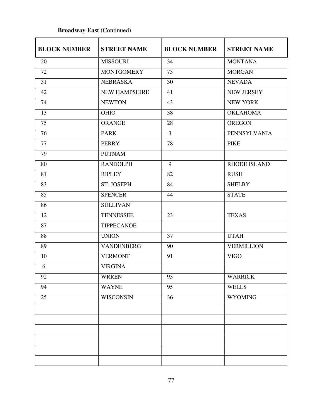# BLOCK NUMBER STREET NAME BLOCK NUMBER STREET NAME 20 MISSOURI 34 MONTANA 72 MONTGOMERY 73 MORGAN 31 NEBRASKA 30 NEVADA 42 NEW HAMPSHIRE 41 NEW JERSEY 74 NEWTON 43 NEW YORK 13 OHIO 38 OKLAHOMA 75 ORANGE 28 OREGON 76 PARK 3 PENNSYLVANIA 77 PERRY 78 PIKE 79 PUTNAM 80 RANDOLPH 9 RHODE ISLAND 81 RIPLEY 82 RUSH 83 ST. JOSEPH 84 SHELBY 85 SPENCER 44 STATE 86 SULLIVAN 12 TENNESSEE 23 TEXAS 87 TIPPECANOE 88 UNION 37 UTAH 89 VANDENBERG 90 VERMILLION 10 VERMONT 91 VIGO 6 VIRGINA 92 WRREN 93 WARRICK 94 | WAYNE | 95 | WELLS 25 WISCONSIN 36 WYOMING

#### **Broadway East (Continued)**